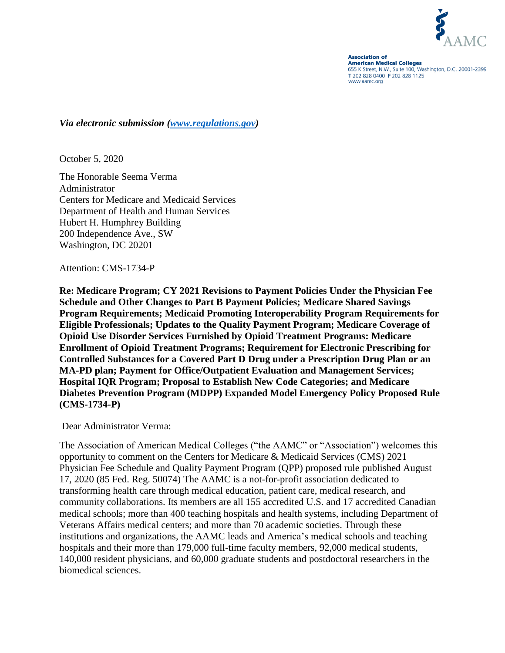

**Association of American Medical Colleges** 655 K Street, N.W., Suite 100, Washington, D.C. 20001-2399 T 202 828 0400 F 202 828 1125 www.aamc.org

*Via electronic submission [\(www.regulations.gov\)](http://www.regulations.gov/)*

October 5, 2020

The Honorable Seema Verma Administrator Centers for Medicare and Medicaid Services Department of Health and Human Services Hubert H. Humphrey Building 200 Independence Ave., SW Washington, DC 20201

Attention: CMS-1734-P

**Re: Medicare Program; CY 2021 Revisions to Payment Policies Under the Physician Fee Schedule and Other Changes to Part B Payment Policies; Medicare Shared Savings Program Requirements; Medicaid Promoting Interoperability Program Requirements for Eligible Professionals; Updates to the Quality Payment Program; Medicare Coverage of Opioid Use Disorder Services Furnished by Opioid Treatment Programs: Medicare Enrollment of Opioid Treatment Programs; Requirement for Electronic Prescribing for Controlled Substances for a Covered Part D Drug under a Prescription Drug Plan or an MA-PD plan; Payment for Office/Outpatient Evaluation and Management Services; Hospital IQR Program; Proposal to Establish New Code Categories; and Medicare Diabetes Prevention Program (MDPP) Expanded Model Emergency Policy Proposed Rule (CMS-1734-P)**

Dear Administrator Verma:

The Association of American Medical Colleges ("the AAMC" or "Association") welcomes this opportunity to comment on the Centers for Medicare & Medicaid Services (CMS) 2021 Physician Fee Schedule and Quality Payment Program (QPP) proposed rule published August 17, 2020 (85 Fed. Reg. 50074) The AAMC is a not-for-profit association dedicated to transforming health care through medical education, patient care, medical research, and community collaborations. Its members are all 155 accredited U.S. and 17 accredited Canadian medical schools; more than 400 teaching hospitals and health systems, including Department of Veterans Affairs medical centers; and more than 70 academic societies. Through these institutions and organizations, the AAMC leads and America's medical schools and teaching hospitals and their more than 179,000 full-time faculty members, 92,000 medical students, 140,000 resident physicians, and 60,000 graduate students and postdoctoral researchers in the biomedical sciences.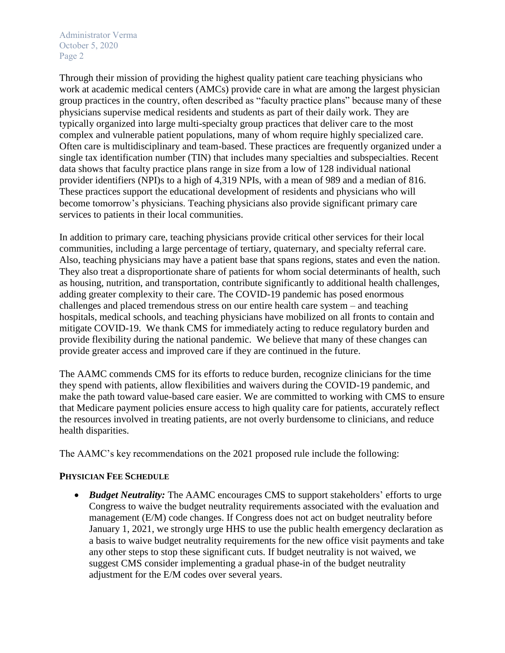Through their mission of providing the highest quality patient care teaching physicians who work at academic medical centers (AMCs) provide care in what are among the largest physician group practices in the country, often described as "faculty practice plans" because many of these physicians supervise medical residents and students as part of their daily work. They are typically organized into large multi-specialty group practices that deliver care to the most complex and vulnerable patient populations, many of whom require highly specialized care. Often care is multidisciplinary and team-based. These practices are frequently organized under a single tax identification number (TIN) that includes many specialties and subspecialties. Recent data shows that faculty practice plans range in size from a low of 128 individual national provider identifiers (NPI)s to a high of 4,319 NPIs, with a mean of 989 and a median of 816. These practices support the educational development of residents and physicians who will become tomorrow's physicians. Teaching physicians also provide significant primary care services to patients in their local communities.

In addition to primary care, teaching physicians provide critical other services for their local communities, including a large percentage of tertiary, quaternary, and specialty referral care. Also, teaching physicians may have a patient base that spans regions, states and even the nation. They also treat a disproportionate share of patients for whom social determinants of health, such as housing, nutrition, and transportation, contribute significantly to additional health challenges, adding greater complexity to their care. The COVID-19 pandemic has posed enormous challenges and placed tremendous stress on our entire health care system – and teaching hospitals, medical schools, and teaching physicians have mobilized on all fronts to contain and mitigate COVID-19. We thank CMS for immediately acting to reduce regulatory burden and provide flexibility during the national pandemic. We believe that many of these changes can provide greater access and improved care if they are continued in the future.

The AAMC commends CMS for its efforts to reduce burden, recognize clinicians for the time they spend with patients, allow flexibilities and waivers during the COVID-19 pandemic, and make the path toward value-based care easier. We are committed to working with CMS to ensure that Medicare payment policies ensure access to high quality care for patients, accurately reflect the resources involved in treating patients, are not overly burdensome to clinicians, and reduce health disparities.

The AAMC's key recommendations on the 2021 proposed rule include the following:

## **PHYSICIAN FEE SCHEDULE**

• *Budget Neutrality:* The AAMC encourages CMS to support stakeholders' efforts to urge Congress to waive the budget neutrality requirements associated with the evaluation and management (E/M) code changes. If Congress does not act on budget neutrality before January 1, 2021, we strongly urge HHS to use the public health emergency declaration as a basis to waive budget neutrality requirements for the new office visit payments and take any other steps to stop these significant cuts. If budget neutrality is not waived, we suggest CMS consider implementing a gradual phase-in of the budget neutrality adjustment for the E/M codes over several years.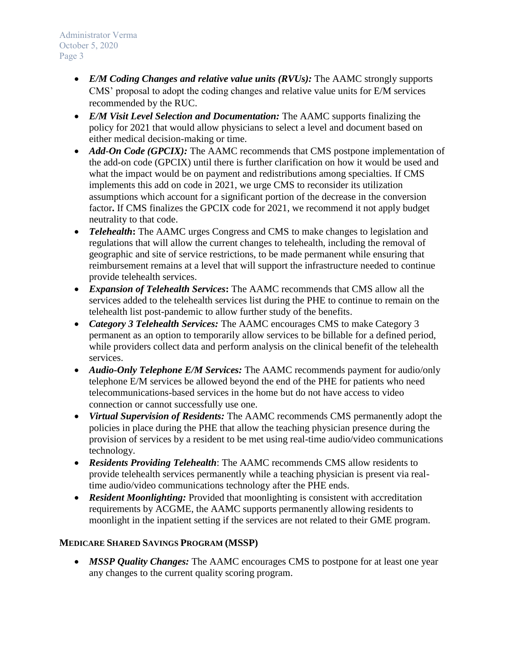- *E/M Coding Changes and relative value units (RVUs)*: The AAMC strongly supports CMS' proposal to adopt the coding changes and relative value units for E/M services recommended by the RUC.
- *E/M Visit Level Selection and Documentation:* The AAMC supports finalizing the policy for 2021 that would allow physicians to select a level and document based on either medical decision-making or time.
- *Add-On Code (GPCIX)*: The AAMC recommends that CMS postpone implementation of the add-on code (GPCIX) until there is further clarification on how it would be used and what the impact would be on payment and redistributions among specialties. If CMS implements this add on code in 2021, we urge CMS to reconsider its utilization assumptions which account for a significant portion of the decrease in the conversion factor**.** If CMS finalizes the GPCIX code for 2021, we recommend it not apply budget neutrality to that code.
- *Telehealth*: The AAMC urges Congress and CMS to make changes to legislation and regulations that will allow the current changes to telehealth, including the removal of geographic and site of service restrictions, to be made permanent while ensuring that reimbursement remains at a level that will support the infrastructure needed to continue provide telehealth services.
- *Expansion of Telehealth Services***:** The AAMC recommends that CMS allow all the services added to the telehealth services list during the PHE to continue to remain on the telehealth list post-pandemic to allow further study of the benefits.
- *Category 3 Telehealth Services:* The AAMC encourages CMS to make Category 3 permanent as an option to temporarily allow services to be billable for a defined period, while providers collect data and perform analysis on the clinical benefit of the telehealth services.
- *Audio-Only Telephone E/M Services:* The AAMC recommends payment for audio/only telephone E/M services be allowed beyond the end of the PHE for patients who need telecommunications-based services in the home but do not have access to video connection or cannot successfully use one.
- *Virtual Supervision of Residents:* The AAMC recommends CMS permanently adopt the policies in place during the PHE that allow the teaching physician presence during the provision of services by a resident to be met using real-time audio/video communications technology.
- *Residents Providing Telehealth*: The AAMC recommends CMS allow residents to provide telehealth services permanently while a teaching physician is present via realtime audio/video communications technology after the PHE ends.
- *Resident Moonlighting:* Provided that moonlighting is consistent with accreditation requirements by ACGME, the AAMC supports permanently allowing residents to moonlight in the inpatient setting if the services are not related to their GME program.

# **MEDICARE SHARED SAVINGS PROGRAM (MSSP)**

• *MSSP Quality Changes:* The AAMC encourages CMS to postpone for at least one year any changes to the current quality scoring program.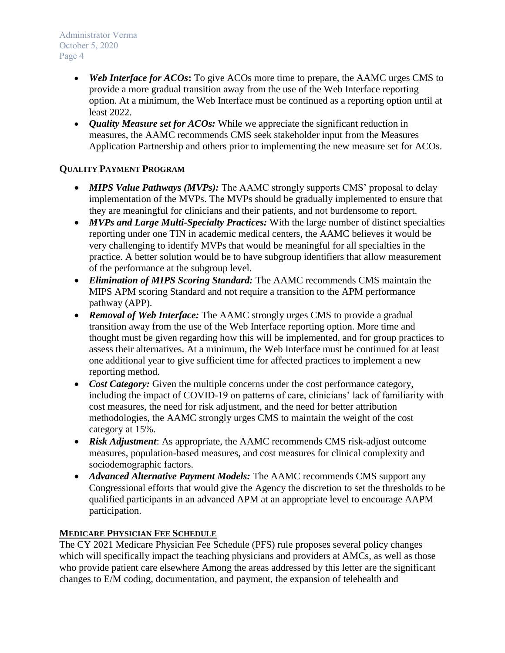- *Web Interface for ACOs*: To give ACOs more time to prepare, the AAMC urges CMS to provide a more gradual transition away from the use of the Web Interface reporting option. At a minimum, the Web Interface must be continued as a reporting option until at least 2022.
- *Quality Measure set for ACOs:* While we appreciate the significant reduction in measures, the AAMC recommends CMS seek stakeholder input from the Measures Application Partnership and others prior to implementing the new measure set for ACOs.

# **QUALITY PAYMENT PROGRAM**

- *MIPS Value Pathways (MVPs):* The AAMC strongly supports CMS' proposal to delay implementation of the MVPs. The MVPs should be gradually implemented to ensure that they are meaningful for clinicians and their patients, and not burdensome to report.
- *MVPs and Large Multi-Specialty Practices:* With the large number of distinct specialties reporting under one TIN in academic medical centers, the AAMC believes it would be very challenging to identify MVPs that would be meaningful for all specialties in the practice. A better solution would be to have subgroup identifiers that allow measurement of the performance at the subgroup level.
- *Elimination of MIPS Scoring Standard:* The AAMC recommends CMS maintain the MIPS APM scoring Standard and not require a transition to the APM performance pathway (APP).
- *Removal of Web Interface:* The AAMC strongly urges CMS to provide a gradual transition away from the use of the Web Interface reporting option. More time and thought must be given regarding how this will be implemented, and for group practices to assess their alternatives. At a minimum, the Web Interface must be continued for at least one additional year to give sufficient time for affected practices to implement a new reporting method.
- *Cost Category:* Given the multiple concerns under the cost performance category, including the impact of COVID-19 on patterns of care, clinicians' lack of familiarity with cost measures, the need for risk adjustment, and the need for better attribution methodologies, the AAMC strongly urges CMS to maintain the weight of the cost category at 15%.
- *Risk Adjustment*: As appropriate, the AAMC recommends CMS risk-adjust outcome measures, population-based measures, and cost measures for clinical complexity and sociodemographic factors.
- *Advanced Alternative Payment Models:* The AAMC recommends CMS support any Congressional efforts that would give the Agency the discretion to set the thresholds to be qualified participants in an advanced APM at an appropriate level to encourage AAPM participation.

## **MEDICARE PHYSICIAN FEE SCHEDULE**

The CY 2021 Medicare Physician Fee Schedule (PFS) rule proposes several policy changes which will specifically impact the teaching physicians and providers at AMCs, as well as those who provide patient care elsewhere Among the areas addressed by this letter are the significant changes to E/M coding, documentation, and payment, the expansion of telehealth and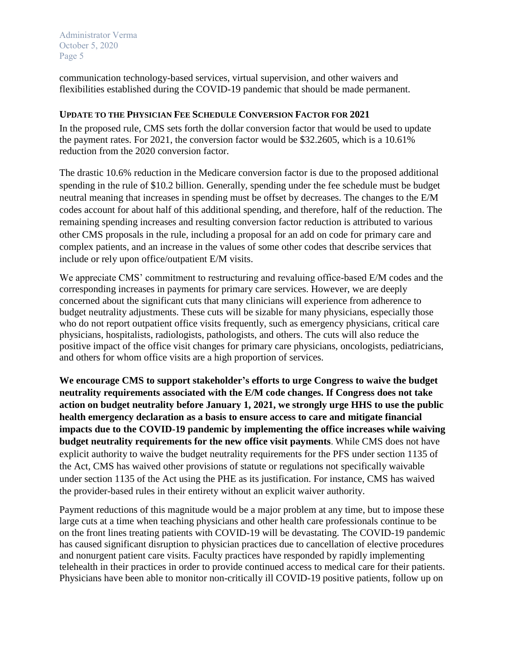communication technology-based services, virtual supervision, and other waivers and flexibilities established during the COVID-19 pandemic that should be made permanent.

#### **UPDATE TO THE PHYSICIAN FEE SCHEDULE CONVERSION FACTOR FOR 2021**

In the proposed rule, CMS sets forth the dollar conversion factor that would be used to update the payment rates. For 2021, the conversion factor would be \$32.2605, which is a 10.61% reduction from the 2020 conversion factor.

The drastic 10.6% reduction in the Medicare conversion factor is due to the proposed additional spending in the rule of \$10.2 billion. Generally, spending under the fee schedule must be budget neutral meaning that increases in spending must be offset by decreases. The changes to the E/M codes account for about half of this additional spending, and therefore, half of the reduction. The remaining spending increases and resulting conversion factor reduction is attributed to various other CMS proposals in the rule, including a proposal for an add on code for primary care and complex patients, and an increase in the values of some other codes that describe services that include or rely upon office/outpatient E/M visits.

We appreciate CMS' commitment to restructuring and revaluing office-based E/M codes and the corresponding increases in payments for primary care services. However, we are deeply concerned about the significant cuts that many clinicians will experience from adherence to budget neutrality adjustments. These cuts will be sizable for many physicians, especially those who do not report outpatient office visits frequently, such as emergency physicians, critical care physicians, hospitalists, radiologists, pathologists, and others. The cuts will also reduce the positive impact of the office visit changes for primary care physicians, oncologists, pediatricians, and others for whom office visits are a high proportion of services.

**We encourage CMS to support stakeholder's efforts to urge Congress to waive the budget neutrality requirements associated with the E/M code changes. If Congress does not take action on budget neutrality before January 1, 2021, we strongly urge HHS to use the public health emergency declaration as a basis to ensure access to care and mitigate financial impacts due to the COVID-19 pandemic by implementing the office increases while waiving budget neutrality requirements for the new office visit payments**. While CMS does not have explicit authority to waive the budget neutrality requirements for the PFS under section 1135 of the Act, CMS has waived other provisions of statute or regulations not specifically waivable under section 1135 of the Act using the PHE as its justification. For instance, CMS has waived the provider-based rules in their entirety without an explicit waiver authority.

Payment reductions of this magnitude would be a major problem at any time, but to impose these large cuts at a time when teaching physicians and other health care professionals continue to be on the front lines treating patients with COVID-19 will be devastating. The COVID-19 pandemic has caused significant disruption to physician practices due to cancellation of elective procedures and nonurgent patient care visits. Faculty practices have responded by rapidly implementing telehealth in their practices in order to provide continued access to medical care for their patients. Physicians have been able to monitor non-critically ill COVID-19 positive patients, follow up on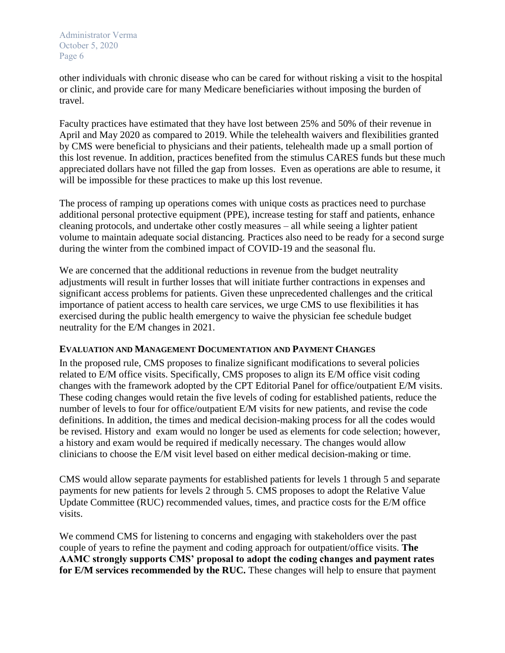other individuals with chronic disease who can be cared for without risking a visit to the hospital or clinic, and provide care for many Medicare beneficiaries without imposing the burden of travel.

Faculty practices have estimated that they have lost between 25% and 50% of their revenue in April and May 2020 as compared to 2019. While the telehealth waivers and flexibilities granted by CMS were beneficial to physicians and their patients, telehealth made up a small portion of this lost revenue. In addition, practices benefited from the stimulus CARES funds but these much appreciated dollars have not filled the gap from losses. Even as operations are able to resume, it will be impossible for these practices to make up this lost revenue.

The process of ramping up operations comes with unique costs as practices need to purchase additional personal protective equipment (PPE), increase testing for staff and patients, enhance cleaning protocols, and undertake other costly measures – all while seeing a lighter patient volume to maintain adequate social distancing. Practices also need to be ready for a second surge during the winter from the combined impact of COVID-19 and the seasonal flu.

We are concerned that the additional reductions in revenue from the budget neutrality adjustments will result in further losses that will initiate further contractions in expenses and significant access problems for patients. Given these unprecedented challenges and the critical importance of patient access to health care services, we urge CMS to use flexibilities it has exercised during the public health emergency to waive the physician fee schedule budget neutrality for the E/M changes in 2021.

## **EVALUATION AND MANAGEMENT DOCUMENTATION AND PAYMENT CHANGES**

In the proposed rule, CMS proposes to finalize significant modifications to several policies related to E/M office visits. Specifically, CMS proposes to align its E/M office visit coding changes with the framework adopted by the CPT Editorial Panel for office/outpatient E/M visits. These coding changes would retain the five levels of coding for established patients, reduce the number of levels to four for office/outpatient E/M visits for new patients, and revise the code definitions. In addition, the times and medical decision-making process for all the codes would be revised. History and exam would no longer be used as elements for code selection; however, a history and exam would be required if medically necessary. The changes would allow clinicians to choose the E/M visit level based on either medical decision-making or time.

CMS would allow separate payments for established patients for levels 1 through 5 and separate payments for new patients for levels 2 through 5. CMS proposes to adopt the Relative Value Update Committee (RUC) recommended values, times, and practice costs for the E/M office visits.

We commend CMS for listening to concerns and engaging with stakeholders over the past couple of years to refine the payment and coding approach for outpatient/office visits. **The AAMC strongly supports CMS' proposal to adopt the coding changes and payment rates for E/M services recommended by the RUC.** These changes will help to ensure that payment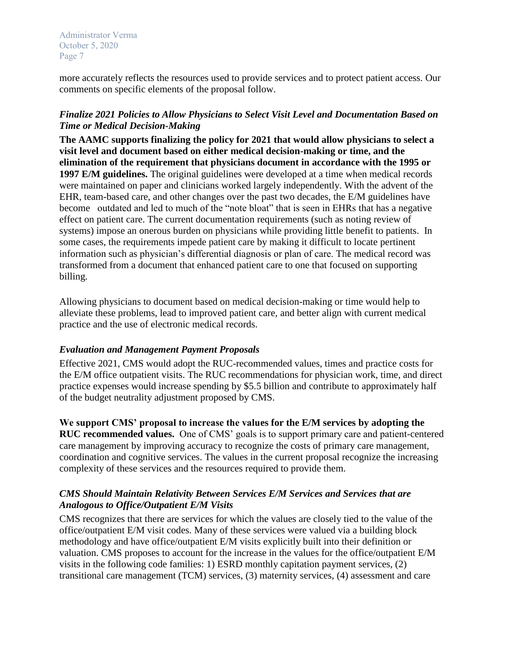more accurately reflects the resources used to provide services and to protect patient access. Our comments on specific elements of the proposal follow.

### *Finalize 2021 Policies to Allow Physicians to Select Visit Level and Documentation Based on Time or Medical Decision-Making*

**The AAMC supports finalizing the policy for 2021 that would allow physicians to select a visit level and document based on either medical decision-making or time, and the elimination of the requirement that physicians document in accordance with the 1995 or 1997 E/M guidelines.** The original guidelines were developed at a time when medical records were maintained on paper and clinicians worked largely independently. With the advent of the EHR, team-based care, and other changes over the past two decades, the E/M guidelines have become outdated and led to much of the "note bloat" that is seen in EHRs that has a negative effect on patient care. The current documentation requirements (such as noting review of systems) impose an onerous burden on physicians while providing little benefit to patients. In some cases, the requirements impede patient care by making it difficult to locate pertinent information such as physician's differential diagnosis or plan of care. The medical record was transformed from a document that enhanced patient care to one that focused on supporting billing.

Allowing physicians to document based on medical decision-making or time would help to alleviate these problems, lead to improved patient care, and better align with current medical practice and the use of electronic medical records.

## *Evaluation and Management Payment Proposals*

Effective 2021, CMS would adopt the RUC-recommended values, times and practice costs for the E/M office outpatient visits. The RUC recommendations for physician work, time, and direct practice expenses would increase spending by \$5.5 billion and contribute to approximately half of the budget neutrality adjustment proposed by CMS.

**We support CMS' proposal to increase the values for the E/M services by adopting the RUC recommended values.** One of CMS' goals is to support primary care and patient-centered care management by improving accuracy to recognize the costs of primary care management, coordination and cognitive services. The values in the current proposal recognize the increasing complexity of these services and the resources required to provide them.

## *CMS Should Maintain Relativity Between Services E/M Services and Services that are Analogous to Office/Outpatient E/M Visits*

CMS recognizes that there are services for which the values are closely tied to the value of the office/outpatient E/M visit codes. Many of these services were valued via a building block methodology and have office/outpatient E/M visits explicitly built into their definition or valuation. CMS proposes to account for the increase in the values for the office/outpatient E/M visits in the following code families: 1) ESRD monthly capitation payment services, (2) transitional care management (TCM) services, (3) maternity services, (4) assessment and care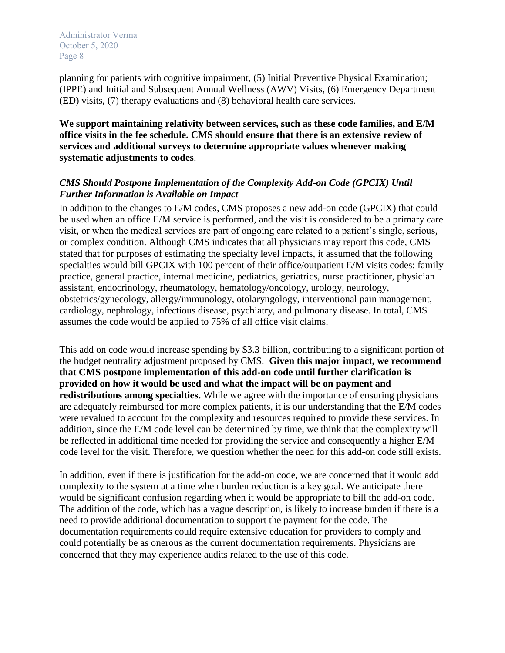planning for patients with cognitive impairment, (5) Initial Preventive Physical Examination; (IPPE) and Initial and Subsequent Annual Wellness (AWV) Visits, (6) Emergency Department (ED) visits, (7) therapy evaluations and (8) behavioral health care services.

**We support maintaining relativity between services, such as these code families, and E/M office visits in the fee schedule. CMS should ensure that there is an extensive review of services and additional surveys to determine appropriate values whenever making systematic adjustments to codes**.

### *CMS Should Postpone Implementation of the Complexity Add-on Code (GPCIX) Until Further Information is Available on Impact*

In addition to the changes to E/M codes, CMS proposes a new add-on code (GPCIX) that could be used when an office E/M service is performed, and the visit is considered to be a primary care visit, or when the medical services are part of ongoing care related to a patient's single, serious, or complex condition. Although CMS indicates that all physicians may report this code, CMS stated that for purposes of estimating the specialty level impacts, it assumed that the following specialties would bill GPCIX with 100 percent of their office/outpatient E/M visits codes: family practice, general practice, internal medicine, pediatrics, geriatrics, nurse practitioner, physician assistant, endocrinology, rheumatology, hematology/oncology, urology, neurology, obstetrics/gynecology, allergy/immunology, otolaryngology, interventional pain management, cardiology, nephrology, infectious disease, psychiatry, and pulmonary disease. In total, CMS assumes the code would be applied to 75% of all office visit claims.

This add on code would increase spending by \$3.3 billion, contributing to a significant portion of the budget neutrality adjustment proposed by CMS. **Given this major impact, we recommend that CMS postpone implementation of this add-on code until further clarification is provided on how it would be used and what the impact will be on payment and redistributions among specialties.** While we agree with the importance of ensuring physicians are adequately reimbursed for more complex patients, it is our understanding that the E/M codes were revalued to account for the complexity and resources required to provide these services. In addition, since the E/M code level can be determined by time, we think that the complexity will be reflected in additional time needed for providing the service and consequently a higher E/M code level for the visit. Therefore, we question whether the need for this add-on code still exists.

In addition, even if there is justification for the add-on code, we are concerned that it would add complexity to the system at a time when burden reduction is a key goal. We anticipate there would be significant confusion regarding when it would be appropriate to bill the add-on code. The addition of the code, which has a vague description, is likely to increase burden if there is a need to provide additional documentation to support the payment for the code. The documentation requirements could require extensive education for providers to comply and could potentially be as onerous as the current documentation requirements. Physicians are concerned that they may experience audits related to the use of this code.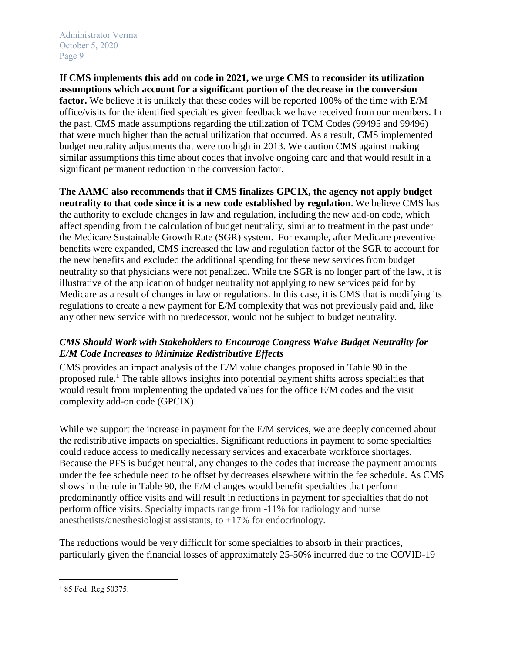**If CMS implements this add on code in 2021, we urge CMS to reconsider its utilization assumptions which account for a significant portion of the decrease in the conversion**  factor. We believe it is unlikely that these codes will be reported 100% of the time with E/M office/visits for the identified specialties given feedback we have received from our members. In the past, CMS made assumptions regarding the utilization of TCM Codes (99495 and 99496) that were much higher than the actual utilization that occurred. As a result, CMS implemented budget neutrality adjustments that were too high in 2013. We caution CMS against making similar assumptions this time about codes that involve ongoing care and that would result in a significant permanent reduction in the conversion factor.

**The AAMC also recommends that if CMS finalizes GPCIX, the agency not apply budget neutrality to that code since it is a new code established by regulation**. We believe CMS has the authority to exclude changes in law and regulation, including the new add-on code, which affect spending from the calculation of budget neutrality, similar to treatment in the past under the Medicare Sustainable Growth Rate (SGR) system. For example, after Medicare preventive benefits were expanded, CMS increased the law and regulation factor of the SGR to account for the new benefits and excluded the additional spending for these new services from budget neutrality so that physicians were not penalized. While the SGR is no longer part of the law, it is illustrative of the application of budget neutrality not applying to new services paid for by Medicare as a result of changes in law or regulations. In this case, it is CMS that is modifying its regulations to create a new payment for E/M complexity that was not previously paid and, like any other new service with no predecessor, would not be subject to budget neutrality.

## *CMS Should Work with Stakeholders to Encourage Congress Waive Budget Neutrality for E/M Code Increases to Minimize Redistributive Effects*

CMS provides an impact analysis of the E/M value changes proposed in Table 90 in the proposed rule.<sup>1</sup> The table allows insights into potential payment shifts across specialties that would result from implementing the updated values for the office E/M codes and the visit complexity add-on code (GPCIX).

While we support the increase in payment for the E/M services, we are deeply concerned about the redistributive impacts on specialties. Significant reductions in payment to some specialties could reduce access to medically necessary services and exacerbate workforce shortages. Because the PFS is budget neutral, any changes to the codes that increase the payment amounts under the fee schedule need to be offset by decreases elsewhere within the fee schedule. As CMS shows in the rule in Table 90, the E/M changes would benefit specialties that perform predominantly office visits and will result in reductions in payment for specialties that do not perform office visits. Specialty impacts range from -11% for radiology and nurse anesthetists/anesthesiologist assistants, to +17% for endocrinology.

The reductions would be very difficult for some specialties to absorb in their practices, particularly given the financial losses of approximately 25-50% incurred due to the COVID-19

 $\overline{\phantom{a}}$ <sup>1</sup> 85 Fed. Reg 50375.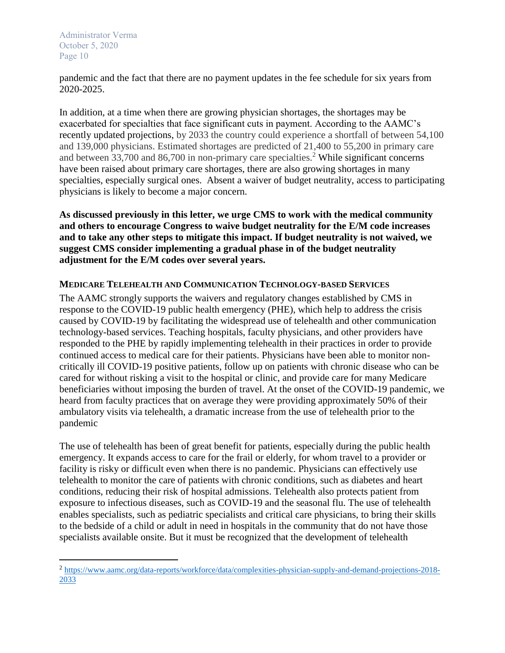$\overline{\phantom{a}}$ 

pandemic and the fact that there are no payment updates in the fee schedule for six years from 2020-2025.

In addition, at a time when there are growing physician shortages, the shortages may be exacerbated for specialties that face significant cuts in payment. According to the AAMC's recently updated projections, by 2033 the country could experience a shortfall of between 54,100 and 139,000 physicians. Estimated shortages are predicted of 21,400 to 55,200 in primary care and between 33,700 and 86,700 in non-primary care specialties.<sup>2</sup> While significant concerns have been raised about primary care shortages, there are also growing shortages in many specialties, especially surgical ones. Absent a waiver of budget neutrality, access to participating physicians is likely to become a major concern.

**As discussed previously in this letter, we urge CMS to work with the medical community and others to encourage Congress to waive budget neutrality for the E/M code increases and to take any other steps to mitigate this impact. If budget neutrality is not waived, we suggest CMS consider implementing a gradual phase in of the budget neutrality adjustment for the E/M codes over several years.**

### **MEDICARE TELEHEALTH AND COMMUNICATION TECHNOLOGY-BASED SERVICES**

The AAMC strongly supports the waivers and regulatory changes established by CMS in response to the COVID-19 public health emergency (PHE), which help to address the crisis caused by COVID-19 by facilitating the widespread use of telehealth and other communication technology-based services. Teaching hospitals, faculty physicians, and other providers have responded to the PHE by rapidly implementing telehealth in their practices in order to provide continued access to medical care for their patients. Physicians have been able to monitor noncritically ill COVID-19 positive patients, follow up on patients with chronic disease who can be cared for without risking a visit to the hospital or clinic, and provide care for many Medicare beneficiaries without imposing the burden of travel. At the onset of the COVID-19 pandemic, we heard from faculty practices that on average they were providing approximately 50% of their ambulatory visits via telehealth, a dramatic increase from the use of telehealth prior to the pandemic

The use of telehealth has been of great benefit for patients, especially during the public health emergency. It expands access to care for the frail or elderly, for whom travel to a provider or facility is risky or difficult even when there is no pandemic. Physicians can effectively use telehealth to monitor the care of patients with chronic conditions, such as diabetes and heart conditions, reducing their risk of hospital admissions. Telehealth also protects patient from exposure to infectious diseases, such as COVID-19 and the seasonal flu. The use of telehealth enables specialists, such as pediatric specialists and critical care physicians, to bring their skills to the bedside of a child or adult in need in hospitals in the community that do not have those specialists available onsite. But it must be recognized that the development of telehealth

<sup>&</sup>lt;sup>2</sup> [https://www.aamc.org/data-reports/workforce/data/complexities-physician-supply-and-demand-projections-2018-](https://www.aamc.org/data-reports/workforce/data/complexities-physician-supply-and-demand-projections-2018-2033) [2033](https://www.aamc.org/data-reports/workforce/data/complexities-physician-supply-and-demand-projections-2018-2033)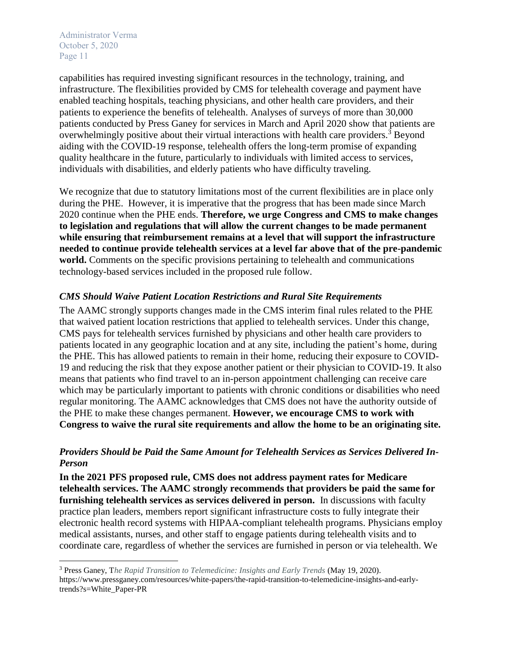$\overline{\phantom{a}}$ 

capabilities has required investing significant resources in the technology, training, and infrastructure. The flexibilities provided by CMS for telehealth coverage and payment have enabled teaching hospitals, teaching physicians, and other health care providers, and their patients to experience the benefits of telehealth. Analyses of surveys of more than 30,000 patients conducted by Press Ganey for services in March and April 2020 show that patients are overwhelmingly positive about their virtual interactions with health care providers.<sup>3</sup> Beyond aiding with the COVID-19 response, telehealth offers the long-term promise of expanding quality healthcare in the future, particularly to individuals with limited access to services, individuals with disabilities, and elderly patients who have difficulty traveling.

We recognize that due to statutory limitations most of the current flexibilities are in place only during the PHE. However, it is imperative that the progress that has been made since March 2020 continue when the PHE ends. **Therefore, we urge Congress and CMS to make changes to legislation and regulations that will allow the current changes to be made permanent while ensuring that reimbursement remains at a level that will support the infrastructure needed to continue provide telehealth services at a level far above that of the pre-pandemic world.** Comments on the specific provisions pertaining to telehealth and communications technology-based services included in the proposed rule follow.

### *CMS Should Waive Patient Location Restrictions and Rural Site Requirements*

The AAMC strongly supports changes made in the CMS interim final rules related to the PHE that waived patient location restrictions that applied to telehealth services. Under this change, CMS pays for telehealth services furnished by physicians and other health care providers to patients located in any geographic location and at any site, including the patient's home, during the PHE. This has allowed patients to remain in their home, reducing their exposure to COVID-19 and reducing the risk that they expose another patient or their physician to COVID-19. It also means that patients who find travel to an in-person appointment challenging can receive care which may be particularly important to patients with chronic conditions or disabilities who need regular monitoring. The AAMC acknowledges that CMS does not have the authority outside of the PHE to make these changes permanent. **However, we encourage CMS to work with Congress to waive the rural site requirements and allow the home to be an originating site.**

## *Providers Should be Paid the Same Amount for Telehealth Services as Services Delivered In-Person*

**In the 2021 PFS proposed rule, CMS does not address payment rates for Medicare telehealth services. The AAMC strongly recommends that providers be paid the same for furnishing telehealth services as services delivered in person.** In discussions with faculty practice plan leaders, members report significant infrastructure costs to fully integrate their electronic health record systems with HIPAA-compliant telehealth programs. Physicians employ medical assistants, nurses, and other staff to engage patients during telehealth visits and to coordinate care, regardless of whether the services are furnished in person or via telehealth. We

<sup>3</sup> Press Ganey, T*he Rapid Transition to Telemedicine: Insights and Early Trends* (May 19, 2020). https://www.pressganey.com/resources/white-papers/the-rapid-transition-to-telemedicine-insights-and-earlytrends?s=White\_Paper-PR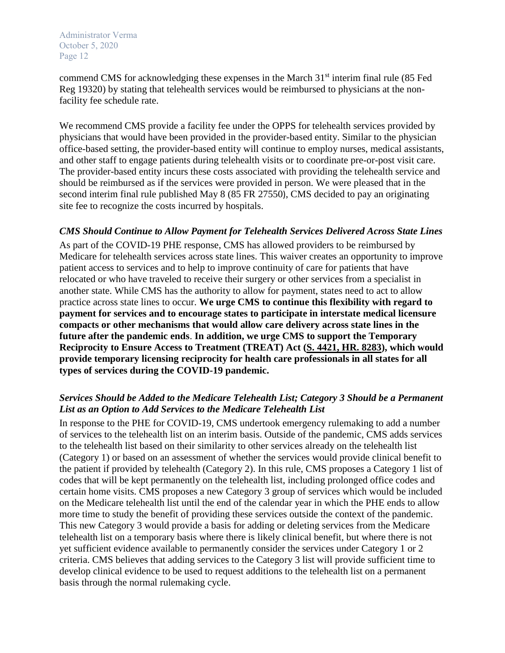commend CMS for acknowledging these expenses in the March  $31<sup>st</sup>$  interim final rule (85 Fed Reg 19320) by stating that telehealth services would be reimbursed to physicians at the nonfacility fee schedule rate.

We recommend CMS provide a facility fee under the OPPS for telehealth services provided by physicians that would have been provided in the provider-based entity. Similar to the physician office-based setting, the provider-based entity will continue to employ nurses, medical assistants, and other staff to engage patients during telehealth visits or to coordinate pre-or-post visit care. The provider-based entity incurs these costs associated with providing the telehealth service and should be reimbursed as if the services were provided in person. We were pleased that in the second interim final rule published May 8 (85 FR 27550), CMS decided to pay an originating site fee to recognize the costs incurred by hospitals.

### *CMS Should Continue to Allow Payment for Telehealth Services Delivered Across State Lines*

As part of the COVID-19 PHE response, CMS has allowed providers to be reimbursed by Medicare for telehealth services across state lines. This waiver creates an opportunity to improve patient access to services and to help to improve continuity of care for patients that have relocated or who have traveled to receive their surgery or other services from a specialist in another state. While CMS has the authority to allow for payment, states need to act to allow practice across state lines to occur. **We urge CMS to continue this flexibility with regard to payment for services and to encourage states to participate in interstate medical licensure compacts or other mechanisms that would allow care delivery across state lines in the future after the pandemic ends**. **In addition, we urge CMS to support the Temporary Reciprocity to Ensure Access to Treatment (TREAT) Act [\(S. 4421,](https://www.congress.gov/bill/116th-congress/senate-bill/4421) HR. 8283), which would provide temporary licensing reciprocity for health care professionals in all states for all types of services during the COVID-19 pandemic.**

## *Services Should be Added to the Medicare Telehealth List; Category 3 Should be a Permanent List as an Option to Add Services to the Medicare Telehealth List*

In response to the PHE for COVID-19, CMS undertook emergency rulemaking to add a number of services to the telehealth list on an interim basis. Outside of the pandemic, CMS adds services to the telehealth list based on their similarity to other services already on the telehealth list (Category 1) or based on an assessment of whether the services would provide clinical benefit to the patient if provided by telehealth (Category 2). In this rule, CMS proposes a Category 1 list of codes that will be kept permanently on the telehealth list, including prolonged office codes and certain home visits. CMS proposes a new Category 3 group of services which would be included on the Medicare telehealth list until the end of the calendar year in which the PHE ends to allow more time to study the benefit of providing these services outside the context of the pandemic. This new Category 3 would provide a basis for adding or deleting services from the Medicare telehealth list on a temporary basis where there is likely clinical benefit, but where there is not yet sufficient evidence available to permanently consider the services under Category 1 or 2 criteria. CMS believes that adding services to the Category 3 list will provide sufficient time to develop clinical evidence to be used to request additions to the telehealth list on a permanent basis through the normal rulemaking cycle.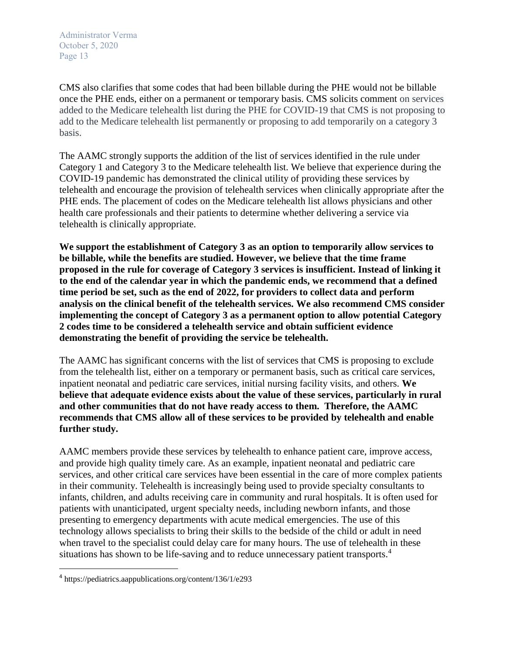CMS also clarifies that some codes that had been billable during the PHE would not be billable once the PHE ends, either on a permanent or temporary basis. CMS solicits comment on services added to the Medicare telehealth list during the PHE for COVID-19 that CMS is not proposing to add to the Medicare telehealth list permanently or proposing to add temporarily on a category 3 basis.

The AAMC strongly supports the addition of the list of services identified in the rule under Category 1 and Category 3 to the Medicare telehealth list. We believe that experience during the COVID-19 pandemic has demonstrated the clinical utility of providing these services by telehealth and encourage the provision of telehealth services when clinically appropriate after the PHE ends. The placement of codes on the Medicare telehealth list allows physicians and other health care professionals and their patients to determine whether delivering a service via telehealth is clinically appropriate.

**We support the establishment of Category 3 as an option to temporarily allow services to be billable, while the benefits are studied. However, we believe that the time frame proposed in the rule for coverage of Category 3 services is insufficient. Instead of linking it to the end of the calendar year in which the pandemic ends, we recommend that a defined time period be set, such as the end of 2022, for providers to collect data and perform analysis on the clinical benefit of the telehealth services. We also recommend CMS consider implementing the concept of Category 3 as a permanent option to allow potential Category 2 codes time to be considered a telehealth service and obtain sufficient evidence demonstrating the benefit of providing the service be telehealth.** 

The AAMC has significant concerns with the list of services that CMS is proposing to exclude from the telehealth list, either on a temporary or permanent basis, such as critical care services, inpatient neonatal and pediatric care services, initial nursing facility visits, and others. **We believe that adequate evidence exists about the value of these services, particularly in rural and other communities that do not have ready access to them. Therefore, the AAMC recommends that CMS allow all of these services to be provided by telehealth and enable further study.**

AAMC members provide these services by telehealth to enhance patient care, improve access, and provide high quality timely care. As an example, inpatient neonatal and pediatric care services, and other critical care services have been essential in the care of more complex patients in their community. Telehealth is increasingly being used to provide specialty consultants to infants, children, and adults receiving care in community and rural hospitals. It is often used for patients with unanticipated, urgent specialty needs, including newborn infants, and those presenting to emergency departments with acute medical emergencies. The use of this technology allows specialists to bring their skills to the bedside of the child or adult in need when travel to the specialist could delay care for many hours. The use of telehealth in these situations has shown to be life-saving and to reduce unnecessary patient transports.<sup>4</sup>

 $\overline{a}$ 

<sup>4</sup> https://pediatrics.aappublications.org/content/136/1/e293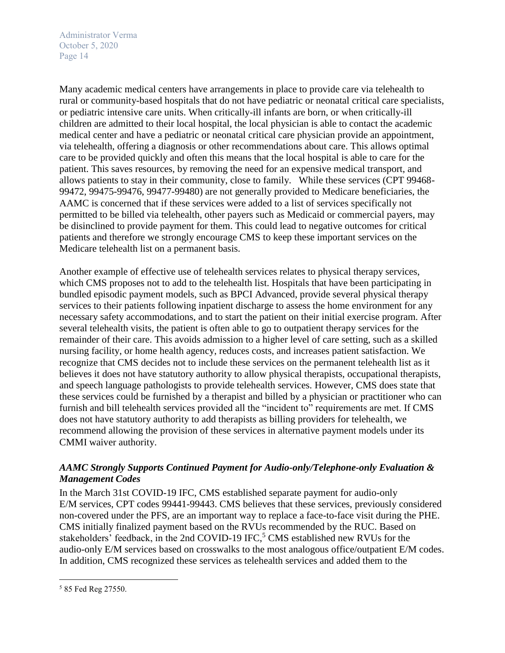Many academic medical centers have arrangements in place to provide care via telehealth to rural or community-based hospitals that do not have pediatric or neonatal critical care specialists, or pediatric intensive care units. When critically-ill infants are born, or when critically-ill children are admitted to their local hospital, the local physician is able to contact the academic medical center and have a pediatric or neonatal critical care physician provide an appointment, via telehealth, offering a diagnosis or other recommendations about care. This allows optimal care to be provided quickly and often this means that the local hospital is able to care for the patient. This saves resources, by removing the need for an expensive medical transport, and allows patients to stay in their community, close to family. While these services (CPT 99468- 99472, 99475-99476, 99477-99480) are not generally provided to Medicare beneficiaries, the AAMC is concerned that if these services were added to a list of services specifically not permitted to be billed via telehealth, other payers such as Medicaid or commercial payers, may be disinclined to provide payment for them. This could lead to negative outcomes for critical patients and therefore we strongly encourage CMS to keep these important services on the Medicare telehealth list on a permanent basis.

Another example of effective use of telehealth services relates to physical therapy services, which CMS proposes not to add to the telehealth list. Hospitals that have been participating in bundled episodic payment models, such as BPCI Advanced, provide several physical therapy services to their patients following inpatient discharge to assess the home environment for any necessary safety accommodations, and to start the patient on their initial exercise program. After several telehealth visits, the patient is often able to go to outpatient therapy services for the remainder of their care. This avoids admission to a higher level of care setting, such as a skilled nursing facility, or home health agency, reduces costs, and increases patient satisfaction. We recognize that CMS decides not to include these services on the permanent telehealth list as it believes it does not have statutory authority to allow physical therapists, occupational therapists, and speech language pathologists to provide telehealth services. However, CMS does state that these services could be furnished by a therapist and billed by a physician or practitioner who can furnish and bill telehealth services provided all the "incident to" requirements are met. If CMS does not have statutory authority to add therapists as billing providers for telehealth, we recommend allowing the provision of these services in alternative payment models under its CMMI waiver authority.

## *AAMC Strongly Supports Continued Payment for Audio-only/Telephone-only Evaluation & Management Codes*

In the March 31st COVID-19 IFC, CMS established separate payment for audio-only E/M services, CPT codes 99441-99443. CMS believes that these services, previously considered non-covered under the PFS, are an important way to replace a face-to-face visit during the PHE. CMS initially finalized payment based on the RVUs recommended by the RUC. Based on stakeholders' feedback, in the 2nd COVID-19 IFC,<sup>5</sup> CMS established new RVUs for the audio-only E/M services based on crosswalks to the most analogous office/outpatient E/M codes. In addition, CMS recognized these services as telehealth services and added them to the

 $\overline{\phantom{a}}$ 

<sup>5</sup> 85 Fed Reg 27550.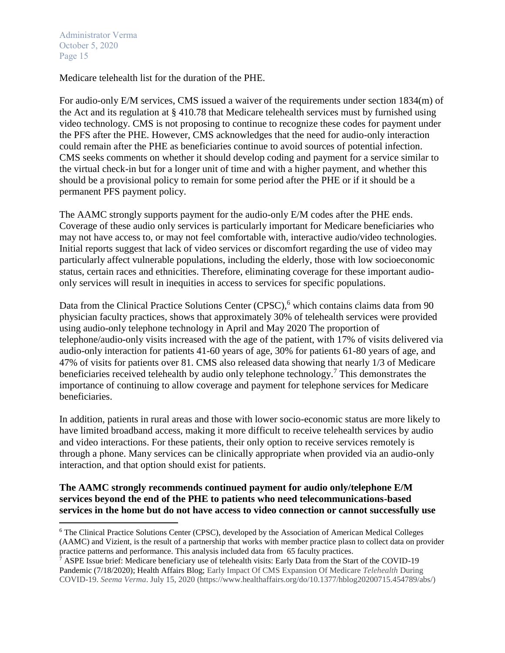$\overline{\phantom{a}}$ 

Medicare telehealth list for the duration of the PHE.

For audio-only E/M services, CMS issued a waiver of the requirements under section 1834(m) of the Act and its regulation at § 410.78 that Medicare telehealth services must by furnished using video technology. CMS is not proposing to continue to recognize these codes for payment under the PFS after the PHE. However, CMS acknowledges that the need for audio-only interaction could remain after the PHE as beneficiaries continue to avoid sources of potential infection. CMS seeks comments on whether it should develop coding and payment for a service similar to the virtual check-in but for a longer unit of time and with a higher payment, and whether this should be a provisional policy to remain for some period after the PHE or if it should be a permanent PFS payment policy.

The AAMC strongly supports payment for the audio-only E/M codes after the PHE ends. Coverage of these audio only services is particularly important for Medicare beneficiaries who may not have access to, or may not feel comfortable with, interactive audio/video technologies. Initial reports suggest that lack of video services or discomfort regarding the use of video may particularly affect vulnerable populations, including the elderly, those with low socioeconomic status, certain races and ethnicities. Therefore, eliminating coverage for these important audioonly services will result in inequities in access to services for specific populations.

Data from the Clinical Practice Solutions Center (CPSC),<sup>6</sup> which contains claims data from 90 physician faculty practices, shows that approximately 30% of telehealth services were provided using audio-only telephone technology in April and May 2020 The proportion of telephone/audio-only visits increased with the age of the patient, with 17% of visits delivered via audio-only interaction for patients 41-60 years of age, 30% for patients 61-80 years of age, and 47% of visits for patients over 81. CMS also released data showing that nearly 1/3 of Medicare beneficiaries received telehealth by audio only telephone technology.<sup>7</sup> This demonstrates the importance of continuing to allow coverage and payment for telephone services for Medicare beneficiaries.

In addition, patients in rural areas and those with lower socio-economic status are more likely to have limited broadband access, making it more difficult to receive telehealth services by audio and video interactions. For these patients, their only option to receive services remotely is through a phone. Many services can be clinically appropriate when provided via an audio-only interaction, and that option should exist for patients.

### **The AAMC strongly recommends continued payment for audio only/telephone E/M services beyond the end of the PHE to patients who need telecommunications-based services in the home but do not have access to video connection or cannot successfully use**

<sup>6</sup> The Clinical Practice Solutions Center (CPSC), developed by the Association of American Medical Colleges (AAMC) and Vizient, is the result of a partnership that works with member practice plasn to collect data on provider practice patterns and performance. This analysis included data from 65 faculty practices.

 $\hat{7}$  ASPE Issue brief: Medicare beneficiary use of telehealth visits: Early Data from the Start of the COVID-19 Pandemic (7/18/2020); Health Affairs Blog; Early Impact Of CMS Expansion Of Medicare *Telehealth* During COVID-19. *Seema Verma*. July 15, 2020 (https://www.healthaffairs.org/do/10.1377/hblog20200715.454789/abs/)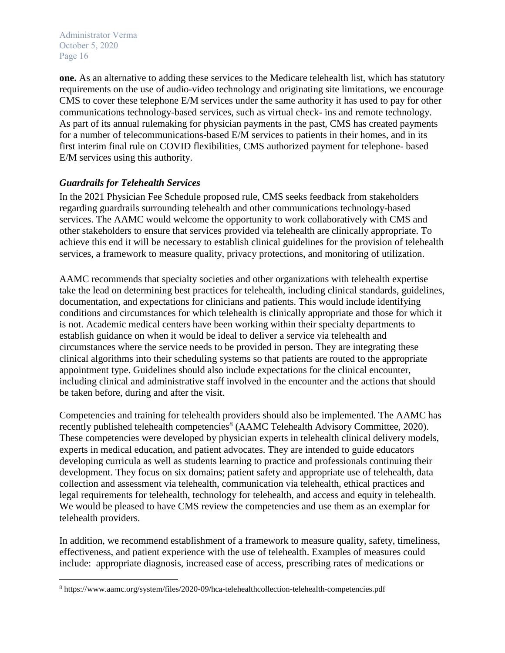**one.** As an alternative to adding these services to the Medicare telehealth list, which has statutory requirements on the use of audio-video technology and originating site limitations, we encourage CMS to cover these telephone E/M services under the same authority it has used to pay for other communications technology-based services, such as virtual check- ins and remote technology. As part of its annual rulemaking for physician payments in the past, CMS has created payments for a number of telecommunications-based E/M services to patients in their homes, and in its first interim final rule on COVID flexibilities, CMS authorized payment for telephone- based E/M services using this authority.

## *Guardrails for Telehealth Services*

In the 2021 Physician Fee Schedule proposed rule, CMS seeks feedback from stakeholders regarding guardrails surrounding telehealth and other communications technology-based services. The AAMC would welcome the opportunity to work collaboratively with CMS and other stakeholders to ensure that services provided via telehealth are clinically appropriate. To achieve this end it will be necessary to establish clinical guidelines for the provision of telehealth services, a framework to measure quality, privacy protections, and monitoring of utilization.

AAMC recommends that specialty societies and other organizations with telehealth expertise take the lead on determining best practices for telehealth, including clinical standards, guidelines, documentation, and expectations for clinicians and patients. This would include identifying conditions and circumstances for which telehealth is clinically appropriate and those for which it is not. Academic medical centers have been working within their specialty departments to establish guidance on when it would be ideal to deliver a service via telehealth and circumstances where the service needs to be provided in person. They are integrating these clinical algorithms into their scheduling systems so that patients are routed to the appropriate appointment type. Guidelines should also include expectations for the clinical encounter, including clinical and administrative staff involved in the encounter and the actions that should be taken before, during and after the visit.

Competencies and training for telehealth providers should also be implemented. The AAMC has recently published telehealth competencies<sup>8</sup> (AAMC Telehealth Advisory Committee, 2020). These competencies were developed by physician experts in telehealth clinical delivery models, experts in medical education, and patient advocates. They are intended to guide educators developing curricula as well as students learning to practice and professionals continuing their development. They focus on six domains; patient safety and appropriate use of telehealth, data collection and assessment via telehealth, communication via telehealth, ethical practices and legal requirements for telehealth, technology for telehealth, and access and equity in telehealth. We would be pleased to have CMS review the competencies and use them as an exemplar for telehealth providers.

In addition, we recommend establishment of a framework to measure quality, safety, timeliness, effectiveness, and patient experience with the use of telehealth. Examples of measures could include: appropriate diagnosis, increased ease of access, prescribing rates of medications or

 $\overline{\phantom{a}}$ <sup>8</sup> https://www.aamc.org/system/files/2020-09/hca-telehealthcollection-telehealth-competencies.pdf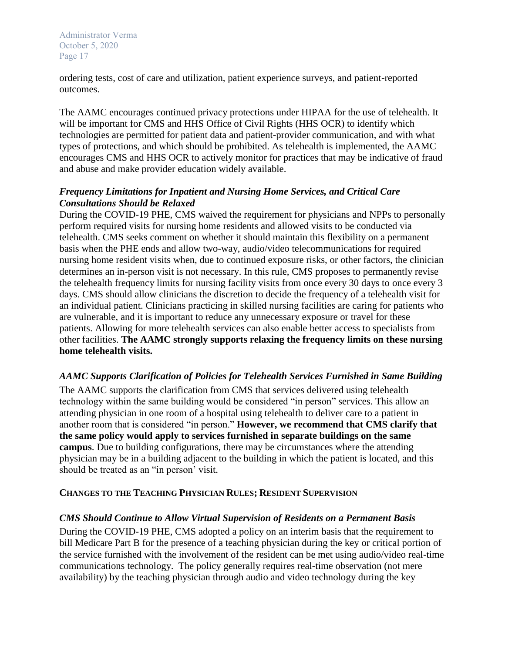ordering tests, cost of care and utilization, patient experience surveys, and patient-reported outcomes.

The AAMC encourages continued privacy protections under HIPAA for the use of telehealth. It will be important for CMS and HHS Office of Civil Rights (HHS OCR) to identify which technologies are permitted for patient data and patient-provider communication, and with what types of protections, and which should be prohibited. As telehealth is implemented, the AAMC encourages CMS and HHS OCR to actively monitor for practices that may be indicative of fraud and abuse and make provider education widely available.

## *Frequency Limitations for Inpatient and Nursing Home Services, and Critical Care Consultations Should be Relaxed*

During the COVID-19 PHE, CMS waived the requirement for physicians and NPPs to personally perform required visits for nursing home residents and allowed visits to be conducted via telehealth. CMS seeks comment on whether it should maintain this flexibility on a permanent basis when the PHE ends and allow two-way, audio/video telecommunications for required nursing home resident visits when, due to continued exposure risks, or other factors, the clinician determines an in-person visit is not necessary. In this rule, CMS proposes to permanently revise the telehealth frequency limits for nursing facility visits from once every 30 days to once every 3 days. CMS should allow clinicians the discretion to decide the frequency of a telehealth visit for an individual patient. Clinicians practicing in skilled nursing facilities are caring for patients who are vulnerable, and it is important to reduce any unnecessary exposure or travel for these patients. Allowing for more telehealth services can also enable better access to specialists from other facilities. **The AAMC strongly supports relaxing the frequency limits on these nursing home telehealth visits.**

## *AAMC Supports Clarification of Policies for Telehealth Services Furnished in Same Building*

The AAMC supports the clarification from CMS that services delivered using telehealth technology within the same building would be considered "in person" services. This allow an attending physician in one room of a hospital using telehealth to deliver care to a patient in another room that is considered "in person." **However, we recommend that CMS clarify that the same policy would apply to services furnished in separate buildings on the same campus**. Due to building configurations, there may be circumstances where the attending physician may be in a building adjacent to the building in which the patient is located, and this should be treated as an "in person' visit.

## **CHANGES TO THE TEACHING PHYSICIAN RULES; RESIDENT SUPERVISION**

## *CMS Should Continue to Allow Virtual Supervision of Residents on a Permanent Basis*

During the COVID-19 PHE, CMS adopted a policy on an interim basis that the requirement to bill Medicare Part B for the presence of a teaching physician during the key or critical portion of the service furnished with the involvement of the resident can be met using audio/video real-time communications technology. The policy generally requires real-time observation (not mere availability) by the teaching physician through audio and video technology during the key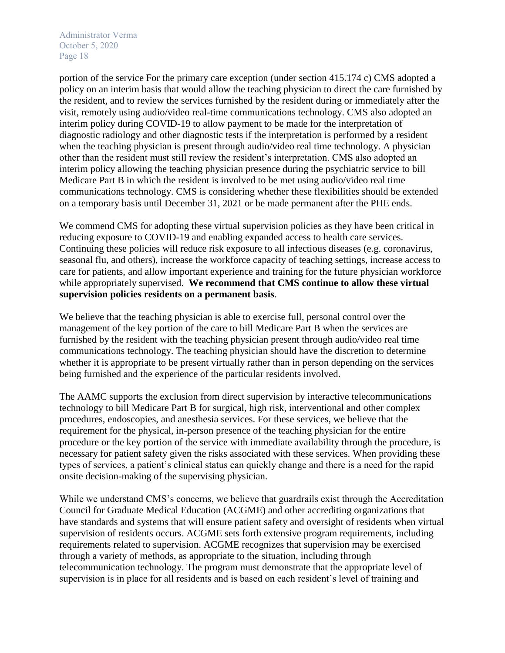portion of the service For the primary care exception (under section 415.174 c) CMS adopted a policy on an interim basis that would allow the teaching physician to direct the care furnished by the resident, and to review the services furnished by the resident during or immediately after the visit, remotely using audio/video real-time communications technology. CMS also adopted an interim policy during COVID-19 to allow payment to be made for the interpretation of diagnostic radiology and other diagnostic tests if the interpretation is performed by a resident when the teaching physician is present through audio/video real time technology. A physician other than the resident must still review the resident's interpretation. CMS also adopted an interim policy allowing the teaching physician presence during the psychiatric service to bill Medicare Part B in which the resident is involved to be met using audio/video real time communications technology. CMS is considering whether these flexibilities should be extended on a temporary basis until December 31, 2021 or be made permanent after the PHE ends.

We commend CMS for adopting these virtual supervision policies as they have been critical in reducing exposure to COVID-19 and enabling expanded access to health care services. Continuing these policies will reduce risk exposure to all infectious diseases (e.g. coronavirus, seasonal flu, and others), increase the workforce capacity of teaching settings, increase access to care for patients, and allow important experience and training for the future physician workforce while appropriately supervised. **We recommend that CMS continue to allow these virtual supervision policies residents on a permanent basis**.

We believe that the teaching physician is able to exercise full, personal control over the management of the key portion of the care to bill Medicare Part B when the services are furnished by the resident with the teaching physician present through audio/video real time communications technology. The teaching physician should have the discretion to determine whether it is appropriate to be present virtually rather than in person depending on the services being furnished and the experience of the particular residents involved.

The AAMC supports the exclusion from direct supervision by interactive telecommunications technology to bill Medicare Part B for surgical, high risk, interventional and other complex procedures, endoscopies, and anesthesia services. For these services, we believe that the requirement for the physical, in-person presence of the teaching physician for the entire procedure or the key portion of the service with immediate availability through the procedure, is necessary for patient safety given the risks associated with these services. When providing these types of services, a patient's clinical status can quickly change and there is a need for the rapid onsite decision-making of the supervising physician.

While we understand CMS's concerns, we believe that guardrails exist through the Accreditation Council for Graduate Medical Education (ACGME) and other accrediting organizations that have standards and systems that will ensure patient safety and oversight of residents when virtual supervision of residents occurs. ACGME sets forth extensive program requirements, including requirements related to supervision. ACGME recognizes that supervision may be exercised through a variety of methods, as appropriate to the situation, including through telecommunication technology. The program must demonstrate that the appropriate level of supervision is in place for all residents and is based on each resident's level of training and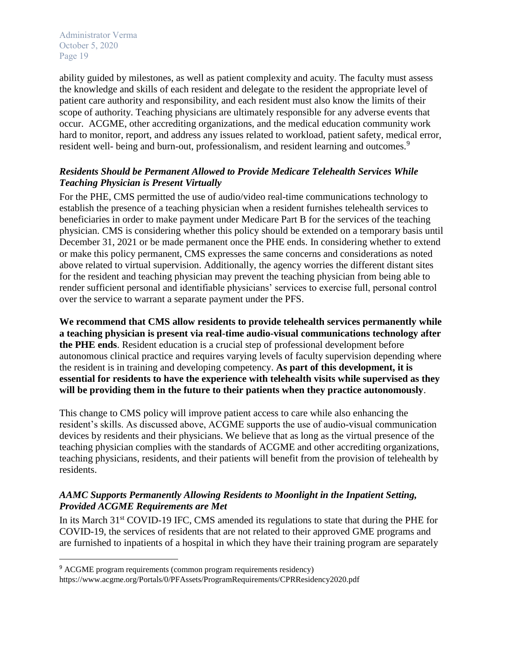l

ability guided by milestones, as well as patient complexity and acuity. The faculty must assess the knowledge and skills of each resident and delegate to the resident the appropriate level of patient care authority and responsibility, and each resident must also know the limits of their scope of authority. Teaching physicians are ultimately responsible for any adverse events that occur. ACGME, other accrediting organizations, and the medical education community work hard to monitor, report, and address any issues related to workload, patient safety, medical error, resident well- being and burn-out, professionalism, and resident learning and outcomes.<sup>9</sup>

## *Residents Should be Permanent Allowed to Provide Medicare Telehealth Services While Teaching Physician is Present Virtually*

For the PHE, CMS permitted the use of audio/video real-time communications technology to establish the presence of a teaching physician when a resident furnishes telehealth services to beneficiaries in order to make payment under Medicare Part B for the services of the teaching physician. CMS is considering whether this policy should be extended on a temporary basis until December 31, 2021 or be made permanent once the PHE ends. In considering whether to extend or make this policy permanent, CMS expresses the same concerns and considerations as noted above related to virtual supervision. Additionally, the agency worries the different distant sites for the resident and teaching physician may prevent the teaching physician from being able to render sufficient personal and identifiable physicians' services to exercise full, personal control over the service to warrant a separate payment under the PFS.

**We recommend that CMS allow residents to provide telehealth services permanently while a teaching physician is present via real-time audio-visual communications technology after the PHE ends**. Resident education is a crucial step of professional development before autonomous clinical practice and requires varying levels of faculty supervision depending where the resident is in training and developing competency. **As part of this development, it is essential for residents to have the experience with telehealth visits while supervised as they will be providing them in the future to their patients when they practice autonomously**.

This change to CMS policy will improve patient access to care while also enhancing the resident's skills. As discussed above, ACGME supports the use of audio-visual communication devices by residents and their physicians. We believe that as long as the virtual presence of the teaching physician complies with the standards of ACGME and other accrediting organizations, teaching physicians, residents, and their patients will benefit from the provision of telehealth by residents.

# *AAMC Supports Permanently Allowing Residents to Moonlight in the Inpatient Setting, Provided ACGME Requirements are Met*

In its March 31<sup>st</sup> COVID-19 IFC, CMS amended its regulations to state that during the PHE for COVID-19, the services of residents that are not related to their approved GME programs and are furnished to inpatients of a hospital in which they have their training program are separately

<sup>&</sup>lt;sup>9</sup> ACGME program requirements (common program requirements residency) https://www.acgme.org/Portals/0/PFAssets/ProgramRequirements/CPRResidency2020.pdf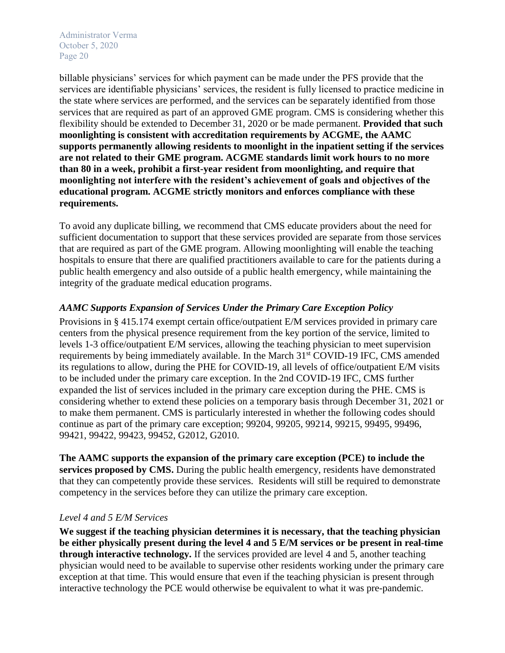billable physicians' services for which payment can be made under the PFS provide that the services are identifiable physicians' services, the resident is fully licensed to practice medicine in the state where services are performed, and the services can be separately identified from those services that are required as part of an approved GME program. CMS is considering whether this flexibility should be extended to December 31, 2020 or be made permanent. **Provided that such moonlighting is consistent with accreditation requirements by ACGME, the AAMC supports permanently allowing residents to moonlight in the inpatient setting if the services are not related to their GME program. ACGME standards limit work hours to no more than 80 in a week, prohibit a first-year resident from moonlighting, and require that moonlighting not interfere with the resident's achievement of goals and objectives of the educational program. ACGME strictly monitors and enforces compliance with these requirements.**

To avoid any duplicate billing, we recommend that CMS educate providers about the need for sufficient documentation to support that these services provided are separate from those services that are required as part of the GME program. Allowing moonlighting will enable the teaching hospitals to ensure that there are qualified practitioners available to care for the patients during a public health emergency and also outside of a public health emergency, while maintaining the integrity of the graduate medical education programs.

## *AAMC Supports Expansion of Services Under the Primary Care Exception Policy*

Provisions in § 415.174 exempt certain office/outpatient E/M services provided in primary care centers from the physical presence requirement from the key portion of the service, limited to levels 1-3 office/outpatient E/M services, allowing the teaching physician to meet supervision requirements by being immediately available. In the March 31<sup>st</sup> COVID-19 IFC, CMS amended its regulations to allow, during the PHE for COVID-19, all levels of office/outpatient E/M visits to be included under the primary care exception. In the 2nd COVID-19 IFC, CMS further expanded the list of services included in the primary care exception during the PHE. CMS is considering whether to extend these policies on a temporary basis through December 31, 2021 or to make them permanent. CMS is particularly interested in whether the following codes should continue as part of the primary care exception; 99204, 99205, 99214, 99215, 99495, 99496, 99421, 99422, 99423, 99452, G2012, G2010.

**The AAMC supports the expansion of the primary care exception (PCE) to include the services proposed by CMS.** During the public health emergency, residents have demonstrated that they can competently provide these services. Residents will still be required to demonstrate competency in the services before they can utilize the primary care exception.

## *Level 4 and 5 E/M Services*

**We suggest if the teaching physician determines it is necessary, that the teaching physician be either physically present during the level 4 and 5 E/M services or be present in real-time through interactive technology.** If the services provided are level 4 and 5, another teaching physician would need to be available to supervise other residents working under the primary care exception at that time. This would ensure that even if the teaching physician is present through interactive technology the PCE would otherwise be equivalent to what it was pre-pandemic.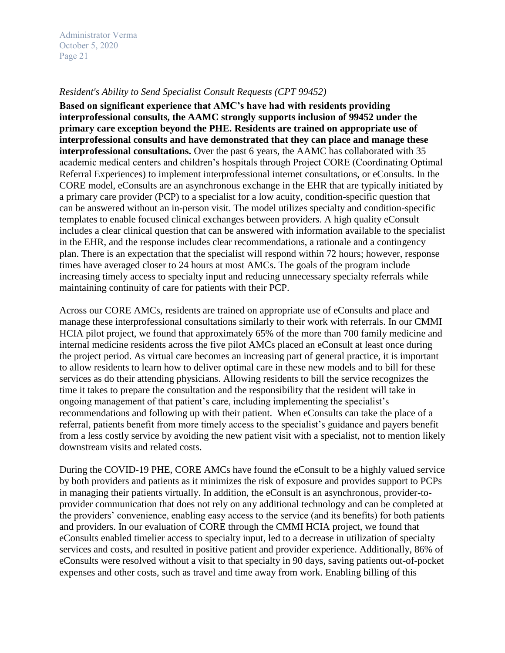#### *Resident's Ability to Send Specialist Consult Requests (CPT 99452)*

**Based on significant experience that AMC's have had with residents providing interprofessional consults, the AAMC strongly supports inclusion of 99452 under the primary care exception beyond the PHE. Residents are trained on appropriate use of interprofessional consults and have demonstrated that they can place and manage these interprofessional consultations.** Over the past 6 years, the AAMC has collaborated with 35 academic medical centers and children's hospitals through Project CORE (Coordinating Optimal Referral Experiences) to implement interprofessional internet consultations, or eConsults. In the CORE model, eConsults are an asynchronous exchange in the EHR that are typically initiated by a primary care provider (PCP) to a specialist for a low acuity, condition-specific question that can be answered without an in-person visit. The model utilizes specialty and condition-specific templates to enable focused clinical exchanges between providers. A high quality eConsult includes a clear clinical question that can be answered with information available to the specialist in the EHR, and the response includes clear recommendations, a rationale and a contingency plan. There is an expectation that the specialist will respond within 72 hours; however, response times have averaged closer to 24 hours at most AMCs. The goals of the program include increasing timely access to specialty input and reducing unnecessary specialty referrals while maintaining continuity of care for patients with their PCP.

Across our CORE AMCs, residents are trained on appropriate use of eConsults and place and manage these interprofessional consultations similarly to their work with referrals. In our CMMI HCIA pilot project, we found that approximately 65% of the more than 700 family medicine and internal medicine residents across the five pilot AMCs placed an eConsult at least once during the project period. As virtual care becomes an increasing part of general practice, it is important to allow residents to learn how to deliver optimal care in these new models and to bill for these services as do their attending physicians. Allowing residents to bill the service recognizes the time it takes to prepare the consultation and the responsibility that the resident will take in ongoing management of that patient's care, including implementing the specialist's recommendations and following up with their patient. When eConsults can take the place of a referral, patients benefit from more timely access to the specialist's guidance and payers benefit from a less costly service by avoiding the new patient visit with a specialist, not to mention likely downstream visits and related costs.

During the COVID-19 PHE, CORE AMCs have found the eConsult to be a highly valued service by both providers and patients as it minimizes the risk of exposure and provides support to PCPs in managing their patients virtually. In addition, the eConsult is an asynchronous, provider-toprovider communication that does not rely on any additional technology and can be completed at the providers' convenience, enabling easy access to the service (and its benefits) for both patients and providers. In our evaluation of CORE through the CMMI HCIA project, we found that eConsults enabled timelier access to specialty input, led to a decrease in utilization of specialty services and costs, and resulted in positive patient and provider experience. Additionally, 86% of eConsults were resolved without a visit to that specialty in 90 days, saving patients out-of-pocket expenses and other costs, such as travel and time away from work. Enabling billing of this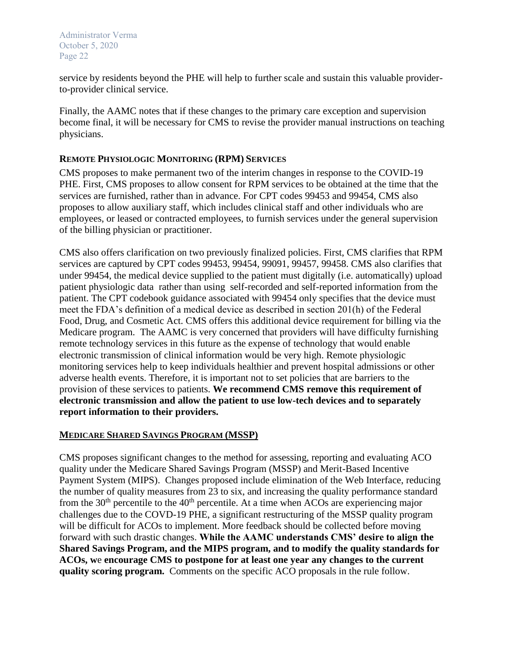service by residents beyond the PHE will help to further scale and sustain this valuable providerto-provider clinical service.

Finally, the AAMC notes that if these changes to the primary care exception and supervision become final, it will be necessary for CMS to revise the provider manual instructions on teaching physicians.

## **REMOTE PHYSIOLOGIC MONITORING (RPM) SERVICES**

CMS proposes to make permanent two of the interim changes in response to the COVID-19 PHE. First, CMS proposes to allow consent for RPM services to be obtained at the time that the services are furnished, rather than in advance. For CPT codes 99453 and 99454, CMS also proposes to allow auxiliary staff, which includes clinical staff and other individuals who are employees, or leased or contracted employees, to furnish services under the general supervision of the billing physician or practitioner.

CMS also offers clarification on two previously finalized policies. First, CMS clarifies that RPM services are captured by CPT codes 99453, 99454, 99091, 99457, 99458. CMS also clarifies that under 99454, the medical device supplied to the patient must digitally (i.e. automatically) upload patient physiologic data rather than using self-recorded and self-reported information from the patient. The CPT codebook guidance associated with 99454 only specifies that the device must meet the FDA's definition of a medical device as described in section 201(h) of the Federal Food, Drug, and Cosmetic Act. CMS offers this additional device requirement for billing via the Medicare program. The AAMC is very concerned that providers will have difficulty furnishing remote technology services in this future as the expense of technology that would enable electronic transmission of clinical information would be very high. Remote physiologic monitoring services help to keep individuals healthier and prevent hospital admissions or other adverse health events. Therefore, it is important not to set policies that are barriers to the provision of these services to patients. **We recommend CMS remove this requirement of electronic transmission and allow the patient to use low-tech devices and to separately report information to their providers.**

## **MEDICARE SHARED SAVINGS PROGRAM (MSSP)**

CMS proposes significant changes to the method for assessing, reporting and evaluating ACO quality under the Medicare Shared Savings Program (MSSP) and Merit-Based Incentive Payment System (MIPS). Changes proposed include elimination of the Web Interface, reducing the number of quality measures from 23 to six, and increasing the quality performance standard from the  $30<sup>th</sup>$  percentile to the  $40<sup>th</sup>$  percentile. At a time when ACOs are experiencing major challenges due to the COVD-19 PHE, a significant restructuring of the MSSP quality program will be difficult for ACOs to implement. More feedback should be collected before moving forward with such drastic changes. **While the AAMC understands CMS' desire to align the Shared Savings Program, and the MIPS program, and to modify the quality standards for ACOs, w**e **encourage CMS to postpone for at least one year any changes to the current quality scoring program.** Comments on the specific ACO proposals in the rule follow.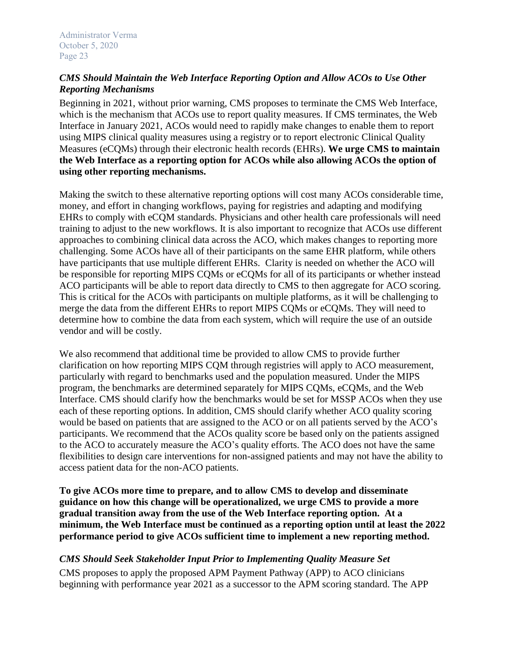## *CMS Should Maintain the Web Interface Reporting Option and Allow ACOs to Use Other Reporting Mechanisms*

Beginning in 2021, without prior warning, CMS proposes to terminate the CMS Web Interface, which is the mechanism that ACOs use to report quality measures. If CMS terminates, the Web Interface in January 2021, ACOs would need to rapidly make changes to enable them to report using MIPS clinical quality measures using a registry or to report electronic Clinical Quality Measures (eCQMs) through their electronic health records (EHRs). **We urge CMS to maintain the Web Interface as a reporting option for ACOs while also allowing ACOs the option of using other reporting mechanisms.**

Making the switch to these alternative reporting options will cost many ACOs considerable time, money, and effort in changing workflows, paying for registries and adapting and modifying EHRs to comply with eCQM standards. Physicians and other health care professionals will need training to adjust to the new workflows. It is also important to recognize that ACOs use different approaches to combining clinical data across the ACO, which makes changes to reporting more challenging. Some ACOs have all of their participants on the same EHR platform, while others have participants that use multiple different EHRs. Clarity is needed on whether the ACO will be responsible for reporting MIPS CQMs or eCQMs for all of its participants or whether instead ACO participants will be able to report data directly to CMS to then aggregate for ACO scoring. This is critical for the ACOs with participants on multiple platforms, as it will be challenging to merge the data from the different EHRs to report MIPS CQMs or eCQMs. They will need to determine how to combine the data from each system, which will require the use of an outside vendor and will be costly.

We also recommend that additional time be provided to allow CMS to provide further clarification on how reporting MIPS CQM through registries will apply to ACO measurement, particularly with regard to benchmarks used and the population measured. Under the MIPS program, the benchmarks are determined separately for MIPS CQMs, eCQMs, and the Web Interface. CMS should clarify how the benchmarks would be set for MSSP ACOs when they use each of these reporting options. In addition, CMS should clarify whether ACO quality scoring would be based on patients that are assigned to the ACO or on all patients served by the ACO's participants. We recommend that the ACOs quality score be based only on the patients assigned to the ACO to accurately measure the ACO's quality efforts. The ACO does not have the same flexibilities to design care interventions for non-assigned patients and may not have the ability to access patient data for the non-ACO patients.

**To give ACOs more time to prepare, and to allow CMS to develop and disseminate guidance on how this change will be operationalized, we urge CMS to provide a more gradual transition away from the use of the Web Interface reporting option. At a minimum, the Web Interface must be continued as a reporting option until at least the 2022 performance period to give ACOs sufficient time to implement a new reporting method.**

# *CMS Should Seek Stakeholder Input Prior to Implementing Quality Measure Set*

CMS proposes to apply the proposed APM Payment Pathway (APP) to ACO clinicians beginning with performance year 2021 as a successor to the APM scoring standard. The APP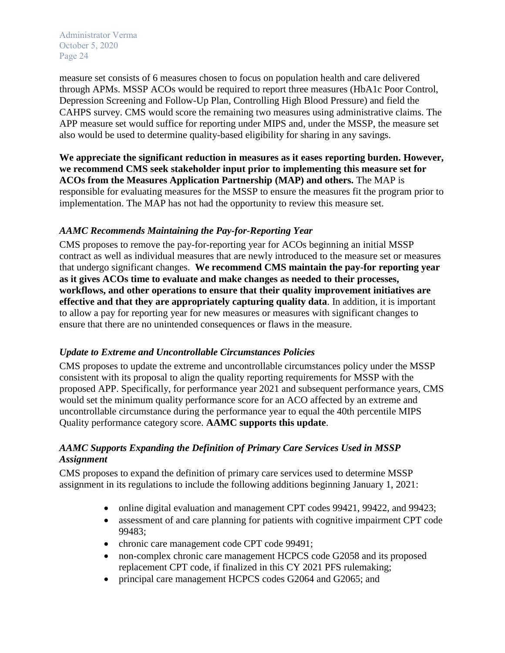measure set consists of 6 measures chosen to focus on population health and care delivered through APMs. MSSP ACOs would be required to report three measures (HbA1c Poor Control, Depression Screening and Follow-Up Plan, Controlling High Blood Pressure) and field the CAHPS survey. CMS would score the remaining two measures using administrative claims. The APP measure set would suffice for reporting under MIPS and, under the MSSP, the measure set also would be used to determine quality-based eligibility for sharing in any savings.

**We appreciate the significant reduction in measures as it eases reporting burden. However, we recommend CMS seek stakeholder input prior to implementing this measure set for ACOs from the Measures Application Partnership (MAP) and others.** The MAP is responsible for evaluating measures for the MSSP to ensure the measures fit the program prior to implementation. The MAP has not had the opportunity to review this measure set.

# *AAMC Recommends Maintaining the Pay-for-Reporting Year*

CMS proposes to remove the pay-for-reporting year for ACOs beginning an initial MSSP contract as well as individual measures that are newly introduced to the measure set or measures that undergo significant changes. **We recommend CMS maintain the pay-for reporting year as it gives ACOs time to evaluate and make changes as needed to their processes, workflows, and other operations to ensure that their quality improvement initiatives are effective and that they are appropriately capturing quality data**. In addition, it is important to allow a pay for reporting year for new measures or measures with significant changes to ensure that there are no unintended consequences or flaws in the measure.

## *Update to Extreme and Uncontrollable Circumstances Policies*

CMS proposes to update the extreme and uncontrollable circumstances policy under the MSSP consistent with its proposal to align the quality reporting requirements for MSSP with the proposed APP. Specifically, for performance year 2021 and subsequent performance years, CMS would set the minimum quality performance score for an ACO affected by an extreme and uncontrollable circumstance during the performance year to equal the 40th percentile MIPS Quality performance category score. **AAMC supports this update**.

# *AAMC Supports Expanding the Definition of Primary Care Services Used in MSSP Assignment*

CMS proposes to expand the definition of primary care services used to determine MSSP assignment in its regulations to include the following additions beginning January 1, 2021:

- online digital evaluation and management CPT codes 99421, 99422, and 99423;
- assessment of and care planning for patients with cognitive impairment CPT code 99483;
- chronic care management code CPT code 99491;
- non-complex chronic care management HCPCS code G2058 and its proposed replacement CPT code, if finalized in this CY 2021 PFS rulemaking;
- principal care management HCPCS codes G2064 and G2065; and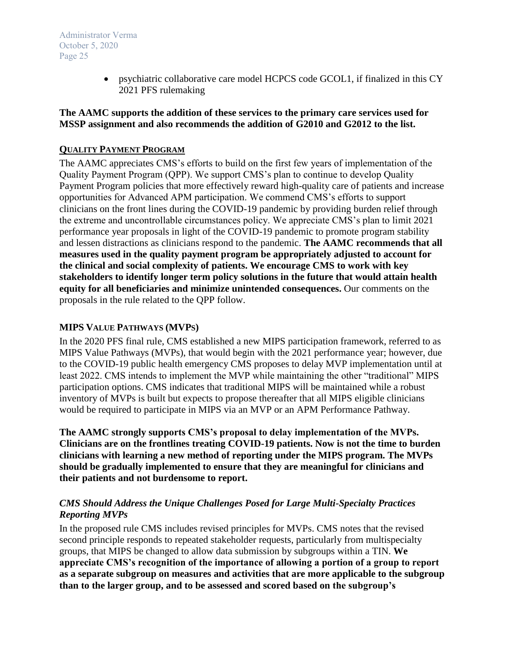> • psychiatric collaborative care model HCPCS code GCOL1, if finalized in this CY 2021 PFS rulemaking

### **The AAMC supports the addition of these services to the primary care services used for MSSP assignment and also recommends the addition of G2010 and G2012 to the list.**

### **QUALITY PAYMENT PROGRAM**

The AAMC appreciates CMS's efforts to build on the first few years of implementation of the Quality Payment Program (QPP). We support CMS's plan to continue to develop Quality Payment Program policies that more effectively reward high-quality care of patients and increase opportunities for Advanced APM participation. We commend CMS's efforts to support clinicians on the front lines during the COVID-19 pandemic by providing burden relief through the extreme and uncontrollable circumstances policy. We appreciate CMS's plan to limit 2021 performance year proposals in light of the COVID-19 pandemic to promote program stability and lessen distractions as clinicians respond to the pandemic. **The AAMC recommends that all measures used in the quality payment program be appropriately adjusted to account for the clinical and social complexity of patients. We encourage CMS to work with key stakeholders to identify longer term policy solutions in the future that would attain health equity for all beneficiaries and minimize unintended consequences.** Our comments on the proposals in the rule related to the QPP follow.

### **MIPS VALUE PATHWAYS (MVPS)**

In the 2020 PFS final rule, CMS established a new MIPS participation framework, referred to as MIPS Value Pathways (MVPs), that would begin with the 2021 performance year; however, due to the COVID-19 public health emergency CMS proposes to delay MVP implementation until at least 2022. CMS intends to implement the MVP while maintaining the other "traditional" MIPS participation options. CMS indicates that traditional MIPS will be maintained while a robust inventory of MVPs is built but expects to propose thereafter that all MIPS eligible clinicians would be required to participate in MIPS via an MVP or an APM Performance Pathway.

**The AAMC strongly supports CMS's proposal to delay implementation of the MVPs. Clinicians are on the frontlines treating COVID-19 patients. Now is not the time to burden clinicians with learning a new method of reporting under the MIPS program. The MVPs should be gradually implemented to ensure that they are meaningful for clinicians and their patients and not burdensome to report.**

## *CMS Should Address the Unique Challenges Posed for Large Multi-Specialty Practices Reporting MVPs*

In the proposed rule CMS includes revised principles for MVPs. CMS notes that the revised second principle responds to repeated stakeholder requests, particularly from multispecialty groups, that MIPS be changed to allow data submission by subgroups within a TIN. **We appreciate CMS's recognition of the importance of allowing a portion of a group to report as a separate subgroup on measures and activities that are more applicable to the subgroup than to the larger group, and to be assessed and scored based on the subgroup's**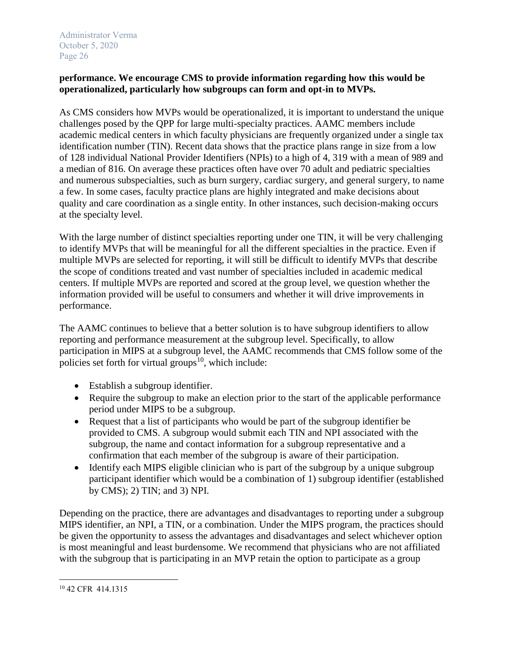## **performance. We encourage CMS to provide information regarding how this would be operationalized, particularly how subgroups can form and opt-in to MVPs.**

As CMS considers how MVPs would be operationalized, it is important to understand the unique challenges posed by the QPP for large multi-specialty practices. AAMC members include academic medical centers in which faculty physicians are frequently organized under a single tax identification number (TIN). Recent data shows that the practice plans range in size from a low of 128 individual National Provider Identifiers (NPIs) to a high of 4, 319 with a mean of 989 and a median of 816. On average these practices often have over 70 adult and pediatric specialties and numerous subspecialties, such as burn surgery, cardiac surgery, and general surgery, to name a few. In some cases, faculty practice plans are highly integrated and make decisions about quality and care coordination as a single entity. In other instances, such decision-making occurs at the specialty level.

With the large number of distinct specialties reporting under one TIN, it will be very challenging to identify MVPs that will be meaningful for all the different specialties in the practice. Even if multiple MVPs are selected for reporting, it will still be difficult to identify MVPs that describe the scope of conditions treated and vast number of specialties included in academic medical centers. If multiple MVPs are reported and scored at the group level, we question whether the information provided will be useful to consumers and whether it will drive improvements in performance.

The AAMC continues to believe that a better solution is to have subgroup identifiers to allow reporting and performance measurement at the subgroup level. Specifically, to allow participation in MIPS at a subgroup level, the AAMC recommends that CMS follow some of the policies set forth for virtual groups<sup>10</sup>, which include:

- Establish a subgroup identifier.
- Require the subgroup to make an election prior to the start of the applicable performance period under MIPS to be a subgroup.
- Request that a list of participants who would be part of the subgroup identifier be provided to CMS. A subgroup would submit each TIN and NPI associated with the subgroup, the name and contact information for a subgroup representative and a confirmation that each member of the subgroup is aware of their participation.
- Identify each MIPS eligible clinician who is part of the subgroup by a unique subgroup participant identifier which would be a combination of 1) subgroup identifier (established by CMS); 2) TIN; and 3) NPI.

Depending on the practice, there are advantages and disadvantages to reporting under a subgroup MIPS identifier, an NPI, a TIN, or a combination. Under the MIPS program, the practices should be given the opportunity to assess the advantages and disadvantages and select whichever option is most meaningful and least burdensome. We recommend that physicians who are not affiliated with the subgroup that is participating in an MVP retain the option to participate as a group

 $\overline{\phantom{a}}$ <sup>10</sup> 42 CFR 414.1315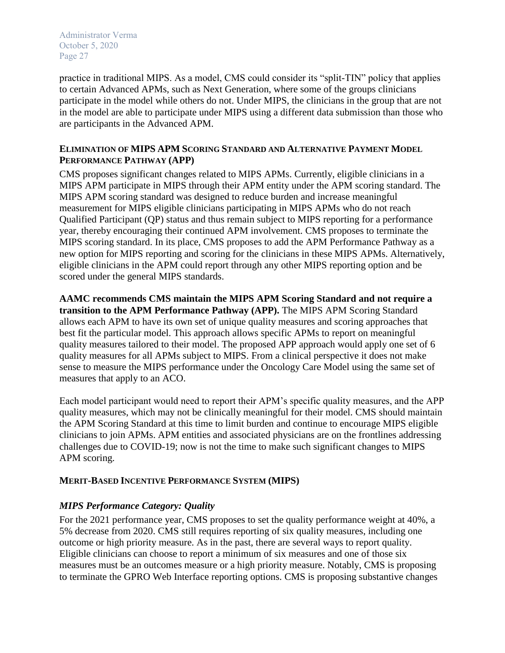practice in traditional MIPS. As a model, CMS could consider its "split-TIN" policy that applies to certain Advanced APMs, such as Next Generation, where some of the groups clinicians participate in the model while others do not. Under MIPS, the clinicians in the group that are not in the model are able to participate under MIPS using a different data submission than those who are participants in the Advanced APM.

### **ELIMINATION OF MIPS APM SCORING STANDARD AND ALTERNATIVE PAYMENT MODEL PERFORMANCE PATHWAY (APP)**

CMS proposes significant changes related to MIPS APMs. Currently, eligible clinicians in a MIPS APM participate in MIPS through their APM entity under the APM scoring standard. The MIPS APM scoring standard was designed to reduce burden and increase meaningful measurement for MIPS eligible clinicians participating in MIPS APMs who do not reach Qualified Participant (QP) status and thus remain subject to MIPS reporting for a performance year, thereby encouraging their continued APM involvement. CMS proposes to terminate the MIPS scoring standard. In its place, CMS proposes to add the APM Performance Pathway as a new option for MIPS reporting and scoring for the clinicians in these MIPS APMs. Alternatively, eligible clinicians in the APM could report through any other MIPS reporting option and be scored under the general MIPS standards.

**AAMC recommends CMS maintain the MIPS APM Scoring Standard and not require a transition to the APM Performance Pathway (APP).** The MIPS APM Scoring Standard allows each APM to have its own set of unique quality measures and scoring approaches that best fit the particular model. This approach allows specific APMs to report on meaningful quality measures tailored to their model. The proposed APP approach would apply one set of 6 quality measures for all APMs subject to MIPS. From a clinical perspective it does not make sense to measure the MIPS performance under the Oncology Care Model using the same set of measures that apply to an ACO.

Each model participant would need to report their APM's specific quality measures, and the APP quality measures, which may not be clinically meaningful for their model. CMS should maintain the APM Scoring Standard at this time to limit burden and continue to encourage MIPS eligible clinicians to join APMs. APM entities and associated physicians are on the frontlines addressing challenges due to COVID-19; now is not the time to make such significant changes to MIPS APM scoring.

## **MERIT-BASED INCENTIVE PERFORMANCE SYSTEM (MIPS)**

# *MIPS Performance Category: Quality*

For the 2021 performance year, CMS proposes to set the quality performance weight at 40%, a 5% decrease from 2020. CMS still requires reporting of six quality measures, including one outcome or high priority measure. As in the past, there are several ways to report quality. Eligible clinicians can choose to report a minimum of six measures and one of those six measures must be an outcomes measure or a high priority measure. Notably, CMS is proposing to terminate the GPRO Web Interface reporting options. CMS is proposing substantive changes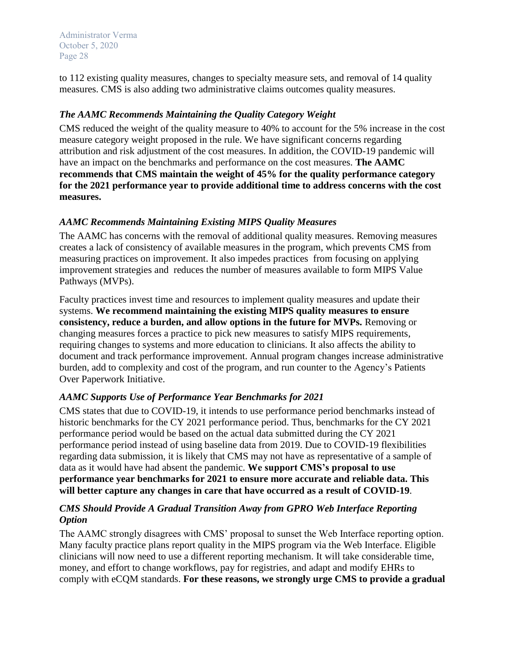to 112 existing quality measures, changes to specialty measure sets, and removal of 14 quality measures. CMS is also adding two administrative claims outcomes quality measures.

# *The AAMC Recommends Maintaining the Quality Category Weight*

CMS reduced the weight of the quality measure to 40% to account for the 5% increase in the cost measure category weight proposed in the rule. We have significant concerns regarding attribution and risk adjustment of the cost measures. In addition, the COVID-19 pandemic will have an impact on the benchmarks and performance on the cost measures. **The AAMC recommends that CMS maintain the weight of 45% for the quality performance category for the 2021 performance year to provide additional time to address concerns with the cost measures.**

# *AAMC Recommends Maintaining Existing MIPS Quality Measures*

The AAMC has concerns with the removal of additional quality measures. Removing measures creates a lack of consistency of available measures in the program, which prevents CMS from measuring practices on improvement. It also impedes practices from focusing on applying improvement strategies and reduces the number of measures available to form MIPS Value Pathways (MVPs).

Faculty practices invest time and resources to implement quality measures and update their systems. **We recommend maintaining the existing MIPS quality measures to ensure consistency, reduce a burden, and allow options in the future for MVPs.** Removing or changing measures forces a practice to pick new measures to satisfy MIPS requirements, requiring changes to systems and more education to clinicians. It also affects the ability to document and track performance improvement. Annual program changes increase administrative burden, add to complexity and cost of the program, and run counter to the Agency's Patients Over Paperwork Initiative.

# *AAMC Supports Use of Performance Year Benchmarks for 2021*

CMS states that due to COVID-19, it intends to use performance period benchmarks instead of historic benchmarks for the CY 2021 performance period. Thus, benchmarks for the CY 2021 performance period would be based on the actual data submitted during the CY 2021 performance period instead of using baseline data from 2019. Due to COVID-19 flexibilities regarding data submission, it is likely that CMS may not have as representative of a sample of data as it would have had absent the pandemic. **We support CMS's proposal to use performance year benchmarks for 2021 to ensure more accurate and reliable data. This will better capture any changes in care that have occurred as a result of COVID-19**.

# *CMS Should Provide A Gradual Transition Away from GPRO Web Interface Reporting Option*

The AAMC strongly disagrees with CMS' proposal to sunset the Web Interface reporting option. Many faculty practice plans report quality in the MIPS program via the Web Interface. Eligible clinicians will now need to use a different reporting mechanism. It will take considerable time, money, and effort to change workflows, pay for registries, and adapt and modify EHRs to comply with eCQM standards. **For these reasons, we strongly urge CMS to provide a gradual**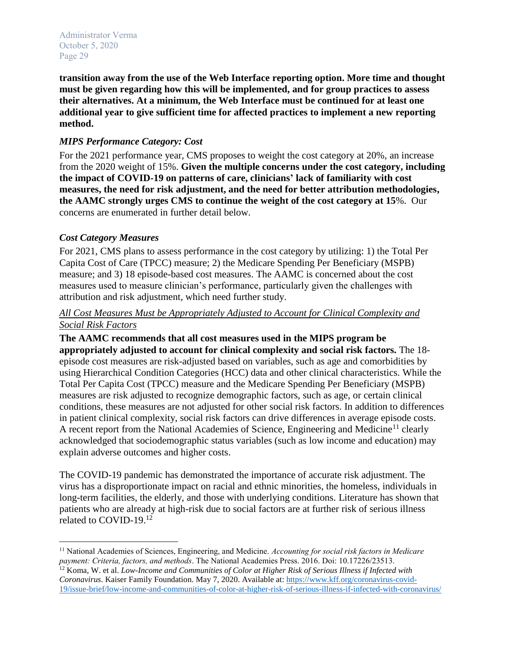**transition away from the use of the Web Interface reporting option. More time and thought must be given regarding how this will be implemented, and for group practices to assess their alternatives. At a minimum, the Web Interface must be continued for at least one additional year to give sufficient time for affected practices to implement a new reporting method.** 

## *MIPS Performance Category: Cost*

For the 2021 performance year, CMS proposes to weight the cost category at 20%, an increase from the 2020 weight of 15%. **Given the multiple concerns under the cost category, including the impact of COVID-19 on patterns of care, clinicians' lack of familiarity with cost measures, the need for risk adjustment, and the need for better attribution methodologies, the AAMC strongly urges CMS to continue the weight of the cost category at 15**%. Our concerns are enumerated in further detail below.

## *Cost Category Measures*

For 2021, CMS plans to assess performance in the cost category by utilizing: 1) the Total Per Capita Cost of Care (TPCC) measure; 2) the Medicare Spending Per Beneficiary (MSPB) measure; and 3) 18 episode-based cost measures. The AAMC is concerned about the cost measures used to measure clinician's performance, particularly given the challenges with attribution and risk adjustment, which need further study.

## *All Cost Measures Must be Appropriately Adjusted to Account for Clinical Complexity and Social Risk Factors*

**The AAMC recommends that all cost measures used in the MIPS program be appropriately adjusted to account for clinical complexity and social risk factors.** The 18 episode cost measures are risk-adjusted based on variables, such as age and comorbidities by using Hierarchical Condition Categories (HCC) data and other clinical characteristics. While the Total Per Capita Cost (TPCC) measure and the Medicare Spending Per Beneficiary (MSPB) measures are risk adjusted to recognize demographic factors, such as age, or certain clinical conditions, these measures are not adjusted for other social risk factors. In addition to differences in patient clinical complexity, social risk factors can drive differences in average episode costs. A recent report from the National Academies of Science, Engineering and Medicine<sup>11</sup> clearly acknowledged that sociodemographic status variables (such as low income and education) may explain adverse outcomes and higher costs.

The COVID-19 pandemic has demonstrated the importance of accurate risk adjustment. The virus has a disproportionate impact on racial and ethnic minorities, the homeless, individuals in long-term facilities, the elderly, and those with underlying conditions. Literature has shown that patients who are already at high-risk due to social factors are at further risk of serious illness related to COVID-19.<sup>12</sup>

l <sup>11</sup> National Academies of Sciences, Engineering, and Medicine. *Accounting for social risk factors in Medicare payment: Criteria, factors, and methods*. The National Academies Press. 2016. Doi: 10.17226/23513.

<sup>12</sup> Koma, W. et al. *Low-Income and Communities of Color at Higher Risk of Serious Illness if Infected with Coronavirus*. Kaiser Family Foundation. May 7, 2020. Available at: [https://www.kff.org/coronavirus-covid-](https://www.kff.org/coronavirus-covid-19/issue-brief/low-income-and-communities-of-color-at-higher-risk-of-serious-illness-if-infected-with-coronavirus/)[19/issue-brief/low-income-and-communities-of-color-at-higher-risk-of-serious-illness-if-infected-with-coronavirus/](https://www.kff.org/coronavirus-covid-19/issue-brief/low-income-and-communities-of-color-at-higher-risk-of-serious-illness-if-infected-with-coronavirus/)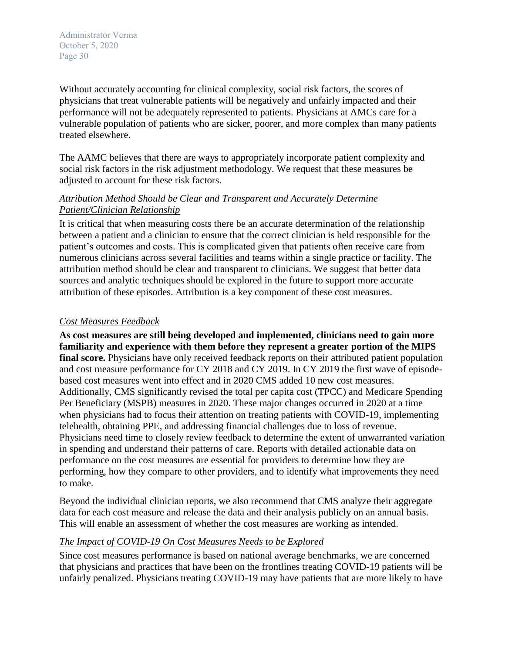Without accurately accounting for clinical complexity, social risk factors, the scores of physicians that treat vulnerable patients will be negatively and unfairly impacted and their performance will not be adequately represented to patients. Physicians at AMCs care for a vulnerable population of patients who are sicker, poorer, and more complex than many patients treated elsewhere.

The AAMC believes that there are ways to appropriately incorporate patient complexity and social risk factors in the risk adjustment methodology. We request that these measures be adjusted to account for these risk factors.

# *Attribution Method Should be Clear and Transparent and Accurately Determine Patient/Clinician Relationship*

It is critical that when measuring costs there be an accurate determination of the relationship between a patient and a clinician to ensure that the correct clinician is held responsible for the patient's outcomes and costs. This is complicated given that patients often receive care from numerous clinicians across several facilities and teams within a single practice or facility. The attribution method should be clear and transparent to clinicians. We suggest that better data sources and analytic techniques should be explored in the future to support more accurate attribution of these episodes. Attribution is a key component of these cost measures.

## *Cost Measures Feedback*

**As cost measures are still being developed and implemented, clinicians need to gain more familiarity and experience with them before they represent a greater portion of the MIPS**  final score. Physicians have only received feedback reports on their attributed patient population and cost measure performance for CY 2018 and CY 2019. In CY 2019 the first wave of episodebased cost measures went into effect and in 2020 CMS added 10 new cost measures. Additionally, CMS significantly revised the total per capita cost (TPCC) and Medicare Spending Per Beneficiary (MSPB) measures in 2020. These major changes occurred in 2020 at a time when physicians had to focus their attention on treating patients with COVID-19, implementing telehealth, obtaining PPE, and addressing financial challenges due to loss of revenue. Physicians need time to closely review feedback to determine the extent of unwarranted variation in spending and understand their patterns of care. Reports with detailed actionable data on performance on the cost measures are essential for providers to determine how they are performing, how they compare to other providers, and to identify what improvements they need to make.

Beyond the individual clinician reports, we also recommend that CMS analyze their aggregate data for each cost measure and release the data and their analysis publicly on an annual basis. This will enable an assessment of whether the cost measures are working as intended.

## *The Impact of COVID-19 On Cost Measures Needs to be Explored*

Since cost measures performance is based on national average benchmarks, we are concerned that physicians and practices that have been on the frontlines treating COVID-19 patients will be unfairly penalized. Physicians treating COVID-19 may have patients that are more likely to have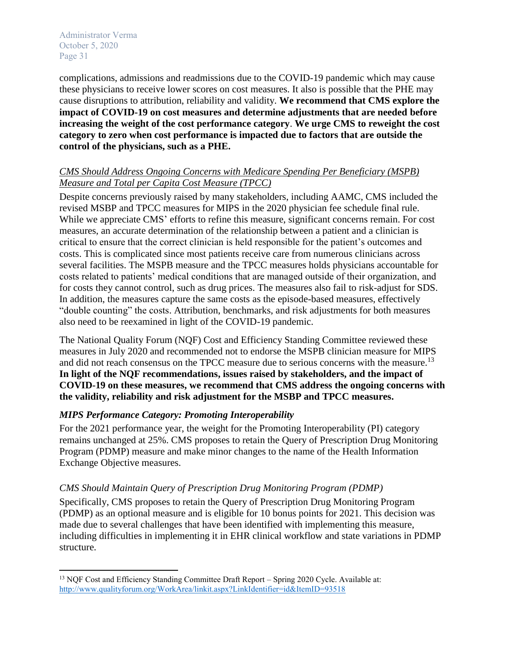$\overline{a}$ 

complications, admissions and readmissions due to the COVID-19 pandemic which may cause these physicians to receive lower scores on cost measures. It also is possible that the PHE may cause disruptions to attribution, reliability and validity. **We recommend that CMS explore the impact of COVID-19 on cost measures and determine adjustments that are needed before increasing the weight of the cost performance category**. **We urge CMS to reweight the cost category to zero when cost performance is impacted due to factors that are outside the control of the physicians, such as a PHE.**

## *CMS Should Address Ongoing Concerns with Medicare Spending Per Beneficiary (MSPB) Measure and Total per Capita Cost Measure (TPCC)*

Despite concerns previously raised by many stakeholders, including AAMC, CMS included the revised MSBP and TPCC measures for MIPS in the 2020 physician fee schedule final rule. While we appreciate CMS' efforts to refine this measure, significant concerns remain. For cost measures, an accurate determination of the relationship between a patient and a clinician is critical to ensure that the correct clinician is held responsible for the patient's outcomes and costs. This is complicated since most patients receive care from numerous clinicians across several facilities. The MSPB measure and the TPCC measures holds physicians accountable for costs related to patients' medical conditions that are managed outside of their organization, and for costs they cannot control, such as drug prices. The measures also fail to risk-adjust for SDS. In addition, the measures capture the same costs as the episode-based measures, effectively "double counting" the costs. Attribution, benchmarks, and risk adjustments for both measures also need to be reexamined in light of the COVID-19 pandemic.

The National Quality Forum (NQF) Cost and Efficiency Standing Committee reviewed these measures in July 2020 and recommended not to endorse the MSPB clinician measure for MIPS and did not reach consensus on the TPCC measure due to serious concerns with the measure.<sup>13</sup> **In light of the NQF recommendations, issues raised by stakeholders, and the impact of COVID-19 on these measures, we recommend that CMS address the ongoing concerns with the validity, reliability and risk adjustment for the MSBP and TPCC measures.**

# *MIPS Performance Category: Promoting Interoperability*

For the 2021 performance year, the weight for the Promoting Interoperability (PI) category remains unchanged at 25%. CMS proposes to retain the Query of Prescription Drug Monitoring Program (PDMP) measure and make minor changes to the name of the Health Information Exchange Objective measures.

# *CMS Should Maintain Query of Prescription Drug Monitoring Program (PDMP)*

Specifically, CMS proposes to retain the Query of Prescription Drug Monitoring Program (PDMP) as an optional measure and is eligible for 10 bonus points for 2021. This decision was made due to several challenges that have been identified with implementing this measure, including difficulties in implementing it in EHR clinical workflow and state variations in PDMP structure.

<sup>&</sup>lt;sup>13</sup> NQF Cost and Efficiency Standing Committee Draft Report – Spring 2020 Cycle. Available at: <http://www.qualityforum.org/WorkArea/linkit.aspx?LinkIdentifier=id&ItemID=93518>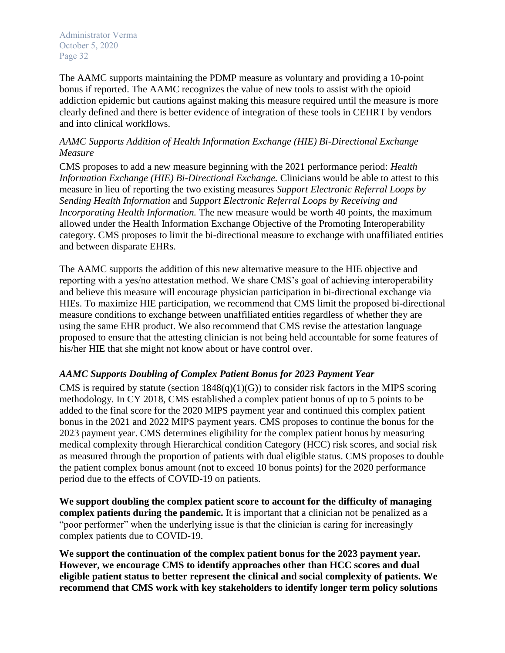The AAMC supports maintaining the PDMP measure as voluntary and providing a 10-point bonus if reported. The AAMC recognizes the value of new tools to assist with the opioid addiction epidemic but cautions against making this measure required until the measure is more clearly defined and there is better evidence of integration of these tools in CEHRT by vendors and into clinical workflows.

### *AAMC Supports Addition of Health Information Exchange (HIE) Bi-Directional Exchange Measure*

CMS proposes to add a new measure beginning with the 2021 performance period: *Health Information Exchange (HIE) Bi-Directional Exchange.* Clinicians would be able to attest to this measure in lieu of reporting the two existing measures *Support Electronic Referral Loops by Sending Health Information* and *Support Electronic Referral Loops by Receiving and Incorporating Health Information.* The new measure would be worth 40 points, the maximum allowed under the Health Information Exchange Objective of the Promoting Interoperability category. CMS proposes to limit the bi-directional measure to exchange with unaffiliated entities and between disparate EHRs.

The AAMC supports the addition of this new alternative measure to the HIE objective and reporting with a yes/no attestation method. We share CMS's goal of achieving interoperability and believe this measure will encourage physician participation in bi-directional exchange via HIEs. To maximize HIE participation, we recommend that CMS limit the proposed bi-directional measure conditions to exchange between unaffiliated entities regardless of whether they are using the same EHR product. We also recommend that CMS revise the attestation language proposed to ensure that the attesting clinician is not being held accountable for some features of his/her HIE that she might not know about or have control over.

## *AAMC Supports Doubling of Complex Patient Bonus for 2023 Payment Year*

CMS is required by statute (section  $1848(q)(1)(G)$ ) to consider risk factors in the MIPS scoring methodology. In CY 2018, CMS established a complex patient bonus of up to 5 points to be added to the final score for the 2020 MIPS payment year and continued this complex patient bonus in the 2021 and 2022 MIPS payment years. CMS proposes to continue the bonus for the 2023 payment year. CMS determines eligibility for the complex patient bonus by measuring medical complexity through Hierarchical condition Category (HCC) risk scores, and social risk as measured through the proportion of patients with dual eligible status. CMS proposes to double the patient complex bonus amount (not to exceed 10 bonus points) for the 2020 performance period due to the effects of COVID-19 on patients.

**We support doubling the complex patient score to account for the difficulty of managing complex patients during the pandemic.** It is important that a clinician not be penalized as a "poor performer" when the underlying issue is that the clinician is caring for increasingly complex patients due to COVID-19.

**We support the continuation of the complex patient bonus for the 2023 payment year. However, we encourage CMS to identify approaches other than HCC scores and dual eligible patient status to better represent the clinical and social complexity of patients. We recommend that CMS work with key stakeholders to identify longer term policy solutions**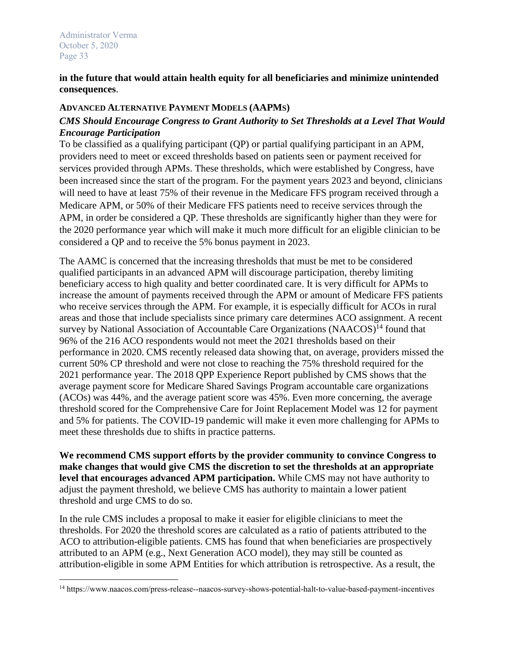$\overline{\phantom{a}}$ 

### **in the future that would attain health equity for all beneficiaries and minimize unintended consequences**.

### **ADVANCED ALTERNATIVE PAYMENT MODELS (AAPMS)**

# *CMS Should Encourage Congress to Grant Authority to Set Thresholds at a Level That Would Encourage Participation*

To be classified as a qualifying participant (QP) or partial qualifying participant in an APM, providers need to meet or exceed thresholds based on patients seen or payment received for services provided through APMs. These thresholds, which were established by Congress, have been increased since the start of the program. For the payment years 2023 and beyond, clinicians will need to have at least 75% of their revenue in the Medicare FFS program received through a Medicare APM, or 50% of their Medicare FFS patients need to receive services through the APM, in order be considered a QP. These thresholds are significantly higher than they were for the 2020 performance year which will make it much more difficult for an eligible clinician to be considered a QP and to receive the 5% bonus payment in 2023.

The AAMC is concerned that the increasing thresholds that must be met to be considered qualified participants in an advanced APM will discourage participation, thereby limiting beneficiary access to high quality and better coordinated care. It is very difficult for APMs to increase the amount of payments received through the APM or amount of Medicare FFS patients who receive services through the APM. For example, it is especially difficult for ACOs in rural areas and those that include specialists since primary care determines ACO assignment. A recent survey by National Association of Accountable Care Organizations  $(NAACOS)^{14}$  found that 96% of the 216 ACO respondents would not meet the 2021 thresholds based on their performance in 2020. CMS recently released data showing that, on average, providers missed the current 50% CP threshold and were not close to reaching the 75% threshold required for the 2021 performance year. The 2018 QPP Experience Report published by CMS shows that the average payment score for Medicare Shared Savings Program accountable care organizations (ACOs) was 44%, and the average patient score was 45%. Even more concerning, the average threshold scored for the Comprehensive Care for Joint Replacement Model was 12 for payment and 5% for patients. The COVID-19 pandemic will make it even more challenging for APMs to meet these thresholds due to shifts in practice patterns.

**We recommend CMS support efforts by the provider community to convince Congress to make changes that would give CMS the discretion to set the thresholds at an appropriate level that encourages advanced APM participation.** While CMS may not have authority to adjust the payment threshold, we believe CMS has authority to maintain a lower patient threshold and urge CMS to do so.

In the rule CMS includes a proposal to make it easier for eligible clinicians to meet the thresholds. For 2020 the threshold scores are calculated as a ratio of patients attributed to the ACO to attribution-eligible patients. CMS has found that when beneficiaries are prospectively attributed to an APM (e.g., Next Generation ACO model), they may still be counted as attribution-eligible in some APM Entities for which attribution is retrospective. As a result, the

<sup>14</sup> https://www.naacos.com/press-release--naacos-survey-shows-potential-halt-to-value-based-payment-incentives